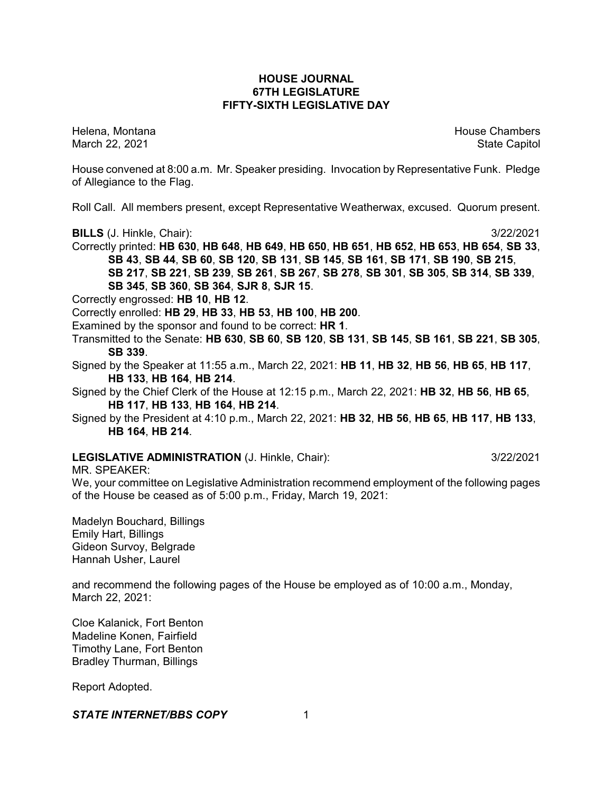# **HOUSE JOURNAL 67TH LEGISLATURE FIFTY-SIXTH LEGISLATIVE DAY**

Helena, Montana House Chambers Chambers Chambers and House Chambers Chambers Chambers Chambers Chambers Chambers Chambers Chambers Chambers Chambers Chambers Chambers Chambers Chambers Chambers Chambers Chambers Chambers C March 22, 2021 **State Capitol** 

House convened at 8:00 a.m. Mr. Speaker presiding. Invocation by Representative Funk. Pledge of Allegiance to the Flag.

Roll Call. All members present, except Representative Weatherwax, excused. Quorum present.

**BILLS** (J. Hinkle, Chair): 3/22/2021

Correctly printed: **HB 630**, **HB 648**, **HB 649**, **HB 650**, **HB 651**, **HB 652**, **HB 653**, **HB 654**, **SB 33**, **SB 43**, **SB 44**, **SB 60**, **SB 120**, **SB 131**, **SB 145**, **SB 161**, **SB 171**, **SB 190**, **SB 215**, **SB 217**, **SB 221**, **SB 239**, **SB 261**, **SB 267**, **SB 278**, **SB 301**, **SB 305**, **SB 314**, **SB 339**,

**SB 345**, **SB 360**, **SB 364**, **SJR 8**, **SJR 15**.

Correctly engrossed: **HB 10**, **HB 12**.

Correctly enrolled: **HB 29**, **HB 33**, **HB 53**, **HB 100**, **HB 200**.

Examined by the sponsor and found to be correct: **HR 1**.

Transmitted to the Senate: **HB 630**, **SB 60**, **SB 120**, **SB 131**, **SB 145**, **SB 161**, **SB 221**, **SB 305**, **SB 339**.

Signed by the Speaker at 11:55 a.m., March 22, 2021: **HB 11**, **HB 32**, **HB 56**, **HB 65**, **HB 117**, **HB 133**, **HB 164**, **HB 214**.

Signed by the Chief Clerk of the House at 12:15 p.m., March 22, 2021: **HB 32**, **HB 56**, **HB 65**, **HB 117**, **HB 133**, **HB 164**, **HB 214**.

Signed by the President at 4:10 p.m., March 22, 2021: **HB 32**, **HB 56**, **HB 65**, **HB 117**, **HB 133**, **HB 164**, **HB 214**.

# **LEGISLATIVE ADMINISTRATION** (J. Hinkle, Chair): 3/22/2021

MR. SPEAKER:

We, your committee on Legislative Administration recommend employment of the following pages of the House be ceased as of 5:00 p.m., Friday, March 19, 2021:

Madelyn Bouchard, Billings Emily Hart, Billings Gideon Survoy, Belgrade Hannah Usher, Laurel

and recommend the following pages of the House be employed as of 10:00 a.m., Monday, March 22, 2021:

Cloe Kalanick, Fort Benton Madeline Konen, Fairfield Timothy Lane, Fort Benton Bradley Thurman, Billings

Report Adopted.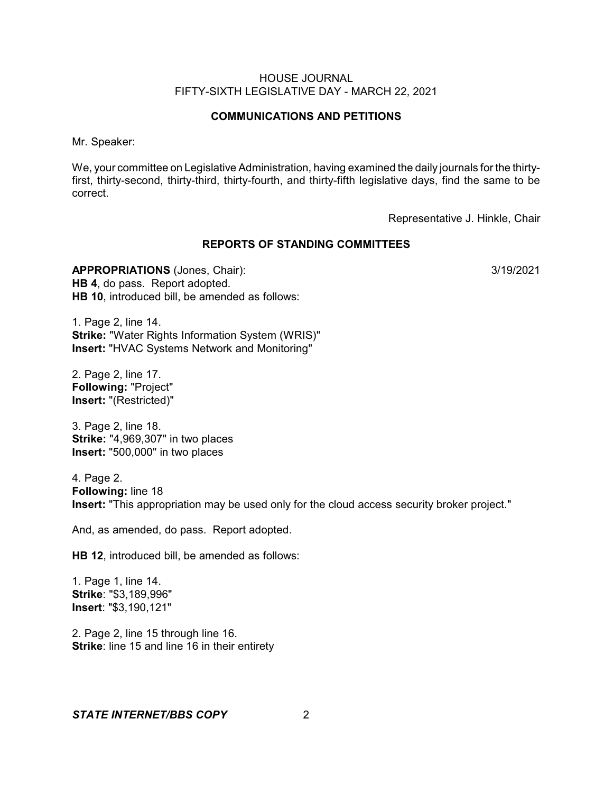### **COMMUNICATIONS AND PETITIONS**

Mr. Speaker:

We, your committee on Legislative Administration, having examined the daily journals for the thirtyfirst, thirty-second, thirty-third, thirty-fourth, and thirty-fifth legislative days, find the same to be correct.

Representative J. Hinkle, Chair

#### **REPORTS OF STANDING COMMITTEES**

**APPROPRIATIONS** (Jones, Chair): 3/19/2021 **HB 4**, do pass. Report adopted. **HB 10**, introduced bill, be amended as follows:

1. Page 2, line 14. **Strike:** "Water Rights Information System (WRIS)" **Insert:** "HVAC Systems Network and Monitoring"

2. Page 2, line 17. **Following:** "Project" **Insert:** "(Restricted)"

3. Page 2, line 18. **Strike:** "4,969,307" in two places **Insert:** "500,000" in two places

4. Page 2. **Following:** line 18 **Insert:** "This appropriation may be used only for the cloud access security broker project."

And, as amended, do pass. Report adopted.

**HB 12**, introduced bill, be amended as follows:

1. Page 1, line 14. **Strike**: "\$3,189,996" **Insert**: "\$3,190,121"

2. Page 2, line 15 through line 16. **Strike:** line 15 and line 16 in their entirety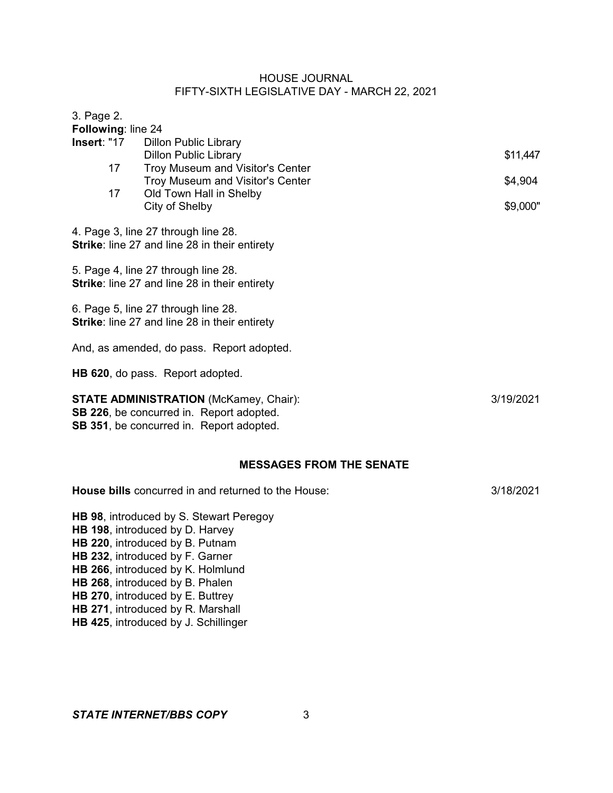| 3. Page 2.                      |    |                                                     |           |
|---------------------------------|----|-----------------------------------------------------|-----------|
| Following: line 24              |    |                                                     |           |
| Insert: "17                     |    | <b>Dillon Public Library</b>                        |           |
|                                 |    | <b>Dillon Public Library</b>                        | \$11,447  |
|                                 | 17 | Troy Museum and Visitor's Center                    |           |
|                                 |    | Troy Museum and Visitor's Center                    | \$4,904   |
|                                 | 17 | Old Town Hall in Shelby                             | \$9,000"  |
|                                 |    | City of Shelby                                      |           |
|                                 |    | 4. Page 3, line 27 through line 28.                 |           |
|                                 |    | Strike: line 27 and line 28 in their entirety       |           |
|                                 |    |                                                     |           |
|                                 |    | 5. Page 4, line 27 through line 28.                 |           |
|                                 |    | Strike: line 27 and line 28 in their entirety       |           |
|                                 |    |                                                     |           |
|                                 |    | 6. Page 5, line 27 through line 28.                 |           |
|                                 |    | Strike: line 27 and line 28 in their entirety       |           |
|                                 |    | And, as amended, do pass. Report adopted.           |           |
|                                 |    |                                                     |           |
|                                 |    | HB 620, do pass. Report adopted.                    |           |
|                                 |    |                                                     |           |
|                                 |    | <b>STATE ADMINISTRATION (McKamey, Chair):</b>       | 3/19/2021 |
|                                 |    | SB 226, be concurred in. Report adopted.            |           |
|                                 |    | SB 351, be concurred in. Report adopted.            |           |
|                                 |    |                                                     |           |
|                                 |    |                                                     |           |
|                                 |    | <b>MESSAGES FROM THE SENATE</b>                     |           |
|                                 |    | House bills concurred in and returned to the House: | 3/18/2021 |
|                                 |    |                                                     |           |
|                                 |    | HB 98, introduced by S. Stewart Peregoy             |           |
|                                 |    | HB 198, introduced by D. Harvey                     |           |
| HB 220, introduced by B. Putnam |    |                                                     |           |
|                                 |    | HB 232, introduced by F. Garner                     |           |
|                                 |    | HB 266, introduced by K. Holmlund                   |           |
|                                 |    | HB 268, introduced by B. Phalen                     |           |
|                                 |    | HB 270, introduced by E. Buttrey                    |           |

- **HB 271**, introduced by R. Marshall
- **HB 425**, introduced by J. Schillinger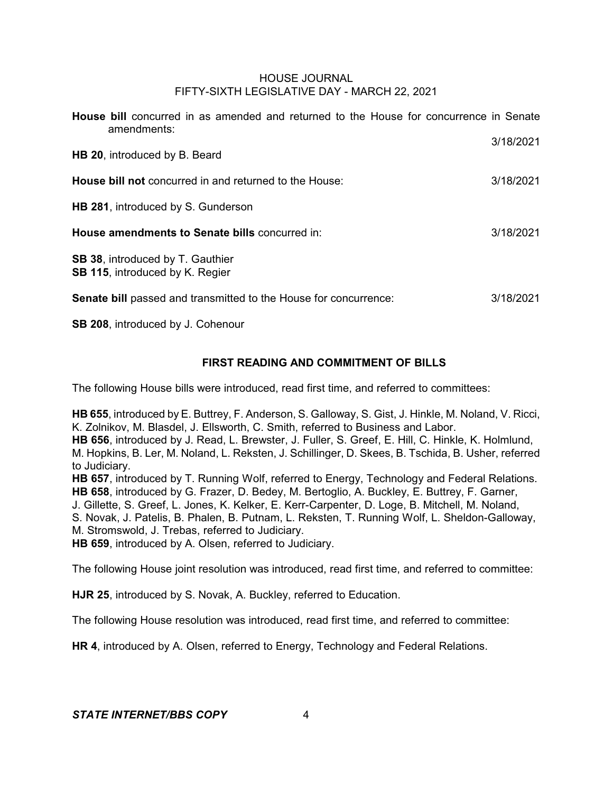| <b>House bill</b> concurred in as amended and returned to the House for concurrence in Senate<br>amendments: |           |
|--------------------------------------------------------------------------------------------------------------|-----------|
| <b>HB 20, introduced by B. Beard</b>                                                                         | 3/18/2021 |
| <b>House bill not</b> concurred in and returned to the House:                                                | 3/18/2021 |
| <b>HB 281, introduced by S. Gunderson</b>                                                                    |           |
| House amendments to Senate bills concurred in:                                                               | 3/18/2021 |
| SB 38, introduced by T. Gauthier<br><b>SB 115, introduced by K. Regier</b>                                   |           |
| <b>Senate bill</b> passed and transmitted to the House for concurrence:                                      | 3/18/2021 |

**SB 208**, introduced by J. Cohenour

# **FIRST READING AND COMMITMENT OF BILLS**

The following House bills were introduced, read first time, and referred to committees:

**HB 655**, introduced by E. Buttrey, F. Anderson, S. Galloway, S. Gist, J. Hinkle, M. Noland, V. Ricci, K. Zolnikov, M. Blasdel, J. Ellsworth, C. Smith, referred to Business and Labor.

**HB 656**, introduced by J. Read, L. Brewster, J. Fuller, S. Greef, E. Hill, C. Hinkle, K. Holmlund, M. Hopkins, B. Ler, M. Noland, L. Reksten, J. Schillinger, D. Skees, B. Tschida, B. Usher, referred to Judiciary.

**HB 657**, introduced by T. Running Wolf, referred to Energy, Technology and Federal Relations. **HB 658**, introduced by G. Frazer, D. Bedey, M. Bertoglio, A. Buckley, E. Buttrey, F. Garner, J. Gillette, S. Greef, L. Jones, K. Kelker, E. Kerr-Carpenter, D. Loge, B. Mitchell, M. Noland, S. Novak, J. Patelis, B. Phalen, B. Putnam, L. Reksten, T. Running Wolf, L. Sheldon-Galloway, M. Stromswold, J. Trebas, referred to Judiciary.

**HB 659**, introduced by A. Olsen, referred to Judiciary.

The following House joint resolution was introduced, read first time, and referred to committee:

**HJR 25**, introduced by S. Novak, A. Buckley, referred to Education.

The following House resolution was introduced, read first time, and referred to committee:

**HR 4**, introduced by A. Olsen, referred to Energy, Technology and Federal Relations.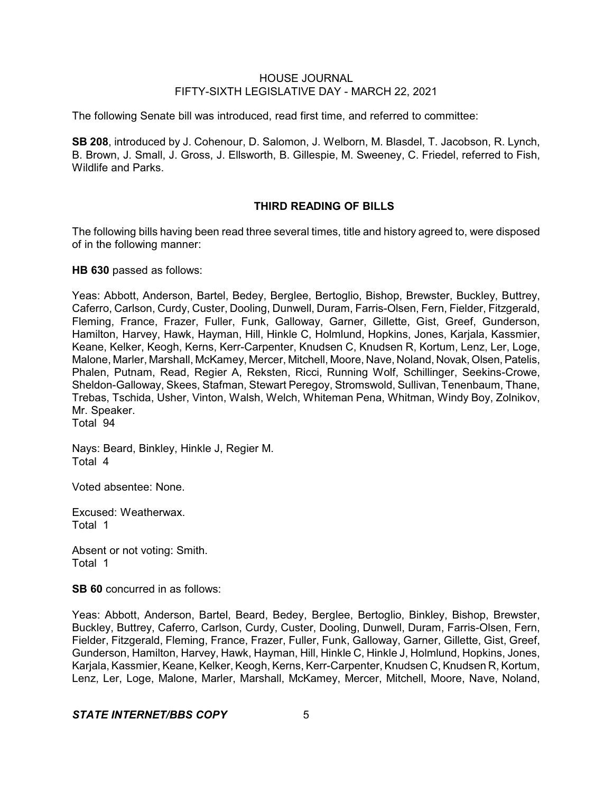The following Senate bill was introduced, read first time, and referred to committee:

**SB 208**, introduced by J. Cohenour, D. Salomon, J. Welborn, M. Blasdel, T. Jacobson, R. Lynch, B. Brown, J. Small, J. Gross, J. Ellsworth, B. Gillespie, M. Sweeney, C. Friedel, referred to Fish, Wildlife and Parks.

### **THIRD READING OF BILLS**

The following bills having been read three several times, title and history agreed to, were disposed of in the following manner:

**HB 630** passed as follows:

Yeas: Abbott, Anderson, Bartel, Bedey, Berglee, Bertoglio, Bishop, Brewster, Buckley, Buttrey, Caferro, Carlson, Curdy, Custer, Dooling, Dunwell, Duram, Farris-Olsen, Fern, Fielder, Fitzgerald, Fleming, France, Frazer, Fuller, Funk, Galloway, Garner, Gillette, Gist, Greef, Gunderson, Hamilton, Harvey, Hawk, Hayman, Hill, Hinkle C, Holmlund, Hopkins, Jones, Karjala, Kassmier, Keane, Kelker, Keogh, Kerns, Kerr-Carpenter, Knudsen C, Knudsen R, Kortum, Lenz, Ler, Loge, Malone, Marler, Marshall, McKamey, Mercer, Mitchell, Moore, Nave, Noland, Novak, Olsen,Patelis, Phalen, Putnam, Read, Regier A, Reksten, Ricci, Running Wolf, Schillinger, Seekins-Crowe, Sheldon-Galloway, Skees, Stafman, Stewart Peregoy, Stromswold, Sullivan, Tenenbaum, Thane, Trebas, Tschida, Usher, Vinton, Walsh, Welch, Whiteman Pena, Whitman, Windy Boy, Zolnikov, Mr. Speaker. Total 94

Nays: Beard, Binkley, Hinkle J, Regier M. Total 4

Voted absentee: None.

Excused: Weatherwax. Total 1

Absent or not voting: Smith. Total 1

**SB 60** concurred in as follows:

Yeas: Abbott, Anderson, Bartel, Beard, Bedey, Berglee, Bertoglio, Binkley, Bishop, Brewster, Buckley, Buttrey, Caferro, Carlson, Curdy, Custer, Dooling, Dunwell, Duram, Farris-Olsen, Fern, Fielder, Fitzgerald, Fleming, France, Frazer, Fuller, Funk, Galloway, Garner, Gillette, Gist, Greef, Gunderson, Hamilton, Harvey, Hawk, Hayman, Hill, Hinkle C, Hinkle J, Holmlund, Hopkins, Jones, Karjala, Kassmier, Keane, Kelker, Keogh, Kerns, Kerr-Carpenter, Knudsen C, Knudsen R, Kortum, Lenz, Ler, Loge, Malone, Marler, Marshall, McKamey, Mercer, Mitchell, Moore, Nave, Noland,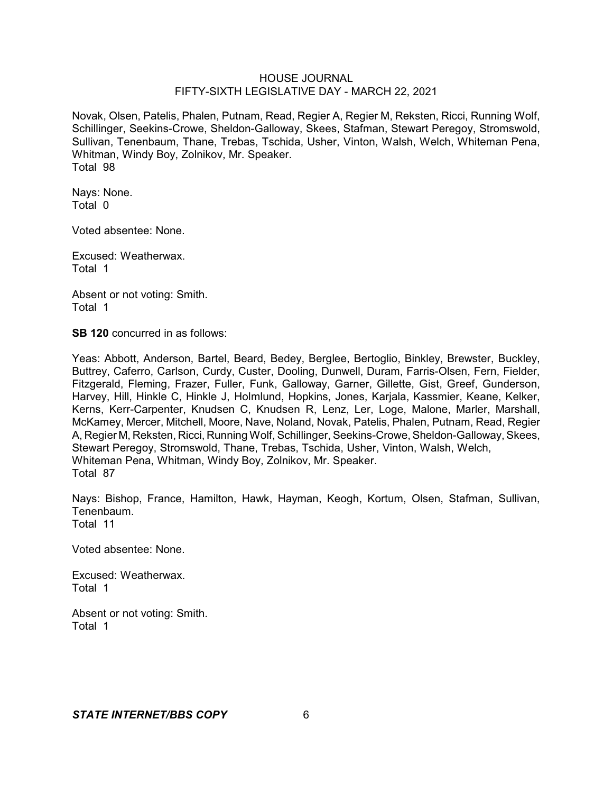Novak, Olsen, Patelis, Phalen, Putnam, Read, Regier A, Regier M, Reksten, Ricci, Running Wolf, Schillinger, Seekins-Crowe, Sheldon-Galloway, Skees, Stafman, Stewart Peregoy, Stromswold, Sullivan, Tenenbaum, Thane, Trebas, Tschida, Usher, Vinton, Walsh, Welch, Whiteman Pena, Whitman, Windy Boy, Zolnikov, Mr. Speaker. Total 98

Nays: None. Total 0

Voted absentee: None.

Excused: Weatherwax. Total 1

Absent or not voting: Smith. Total 1

**SB 120** concurred in as follows:

Yeas: Abbott, Anderson, Bartel, Beard, Bedey, Berglee, Bertoglio, Binkley, Brewster, Buckley, Buttrey, Caferro, Carlson, Curdy, Custer, Dooling, Dunwell, Duram, Farris-Olsen, Fern, Fielder, Fitzgerald, Fleming, Frazer, Fuller, Funk, Galloway, Garner, Gillette, Gist, Greef, Gunderson, Harvey, Hill, Hinkle C, Hinkle J, Holmlund, Hopkins, Jones, Karjala, Kassmier, Keane, Kelker, Kerns, Kerr-Carpenter, Knudsen C, Knudsen R, Lenz, Ler, Loge, Malone, Marler, Marshall, McKamey, Mercer, Mitchell, Moore, Nave, Noland, Novak, Patelis, Phalen, Putnam, Read, Regier A, Regier M, Reksten, Ricci, Running Wolf, Schillinger, Seekins-Crowe, Sheldon-Galloway, Skees, Stewart Peregoy, Stromswold, Thane, Trebas, Tschida, Usher, Vinton, Walsh, Welch, Whiteman Pena, Whitman, Windy Boy, Zolnikov, Mr. Speaker. Total 87

Nays: Bishop, France, Hamilton, Hawk, Hayman, Keogh, Kortum, Olsen, Stafman, Sullivan, Tenenbaum. Total 11

Voted absentee: None.

Excused: Weatherwax. Total 1

Absent or not voting: Smith. Total 1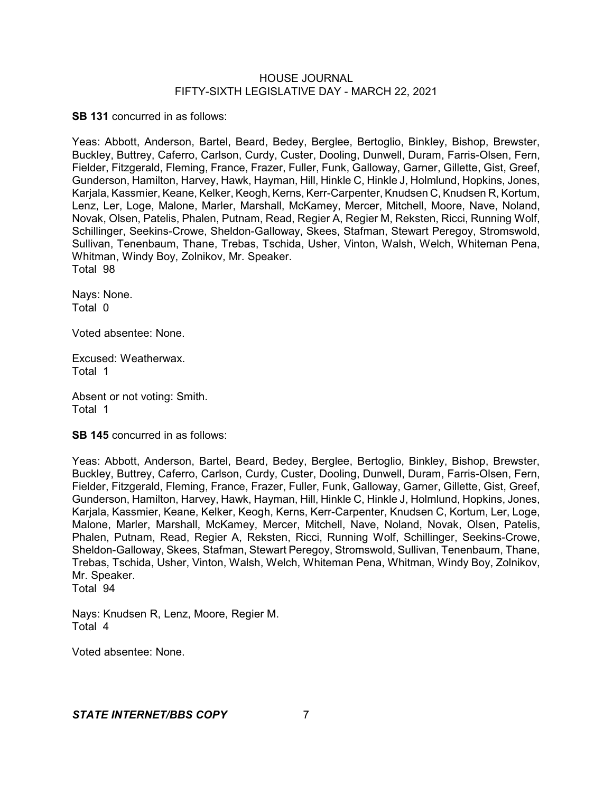**SB 131** concurred in as follows:

Yeas: Abbott, Anderson, Bartel, Beard, Bedey, Berglee, Bertoglio, Binkley, Bishop, Brewster, Buckley, Buttrey, Caferro, Carlson, Curdy, Custer, Dooling, Dunwell, Duram, Farris-Olsen, Fern, Fielder, Fitzgerald, Fleming, France, Frazer, Fuller, Funk, Galloway, Garner, Gillette, Gist, Greef, Gunderson, Hamilton, Harvey, Hawk, Hayman, Hill, Hinkle C, Hinkle J, Holmlund, Hopkins, Jones, Karjala, Kassmier, Keane, Kelker, Keogh, Kerns, Kerr-Carpenter, Knudsen C, Knudsen R, Kortum, Lenz, Ler, Loge, Malone, Marler, Marshall, McKamey, Mercer, Mitchell, Moore, Nave, Noland, Novak, Olsen, Patelis, Phalen, Putnam, Read, Regier A, Regier M, Reksten, Ricci, Running Wolf, Schillinger, Seekins-Crowe, Sheldon-Galloway, Skees, Stafman, Stewart Peregoy, Stromswold, Sullivan, Tenenbaum, Thane, Trebas, Tschida, Usher, Vinton, Walsh, Welch, Whiteman Pena, Whitman, Windy Boy, Zolnikov, Mr. Speaker. Total 98

Nays: None. Total 0

Voted absentee: None.

Excused: Weatherwax. Total 1

Absent or not voting: Smith. Total 1

**SB 145** concurred in as follows:

Yeas: Abbott, Anderson, Bartel, Beard, Bedey, Berglee, Bertoglio, Binkley, Bishop, Brewster, Buckley, Buttrey, Caferro, Carlson, Curdy, Custer, Dooling, Dunwell, Duram, Farris-Olsen, Fern, Fielder, Fitzgerald, Fleming, France, Frazer, Fuller, Funk, Galloway, Garner, Gillette, Gist, Greef, Gunderson, Hamilton, Harvey, Hawk, Hayman, Hill, Hinkle C, Hinkle J, Holmlund, Hopkins, Jones, Karjala, Kassmier, Keane, Kelker, Keogh, Kerns, Kerr-Carpenter, Knudsen C, Kortum, Ler, Loge, Malone, Marler, Marshall, McKamey, Mercer, Mitchell, Nave, Noland, Novak, Olsen, Patelis, Phalen, Putnam, Read, Regier A, Reksten, Ricci, Running Wolf, Schillinger, Seekins-Crowe, Sheldon-Galloway, Skees, Stafman, Stewart Peregoy, Stromswold, Sullivan, Tenenbaum, Thane, Trebas, Tschida, Usher, Vinton, Walsh, Welch, Whiteman Pena, Whitman, Windy Boy, Zolnikov, Mr. Speaker. Total 94

Nays: Knudsen R, Lenz, Moore, Regier M. Total 4

Voted absentee: None.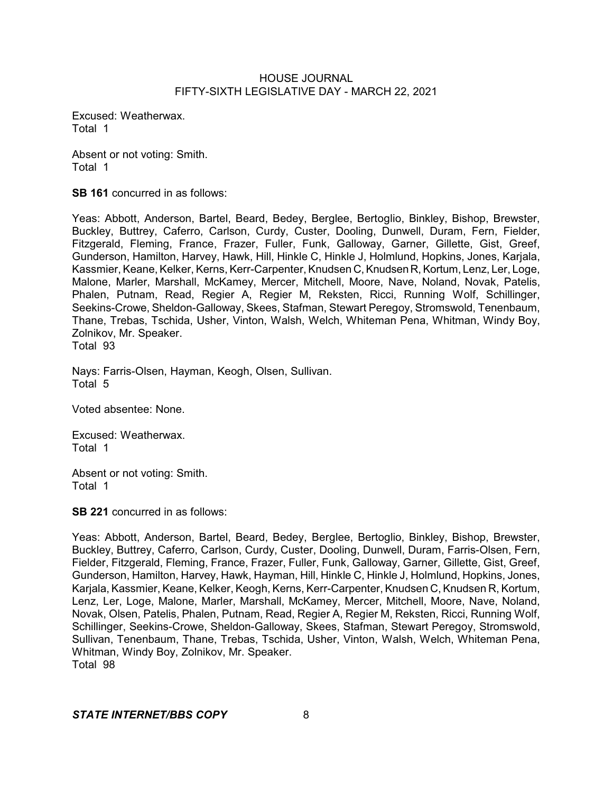Excused: Weatherwax. Total 1

Absent or not voting: Smith. Total 1

**SB 161** concurred in as follows:

Yeas: Abbott, Anderson, Bartel, Beard, Bedey, Berglee, Bertoglio, Binkley, Bishop, Brewster, Buckley, Buttrey, Caferro, Carlson, Curdy, Custer, Dooling, Dunwell, Duram, Fern, Fielder, Fitzgerald, Fleming, France, Frazer, Fuller, Funk, Galloway, Garner, Gillette, Gist, Greef, Gunderson, Hamilton, Harvey, Hawk, Hill, Hinkle C, Hinkle J, Holmlund, Hopkins, Jones, Karjala, Kassmier, Keane, Kelker, Kerns, Kerr-Carpenter, Knudsen C, Knudsen R, Kortum, Lenz, Ler, Loge, Malone, Marler, Marshall, McKamey, Mercer, Mitchell, Moore, Nave, Noland, Novak, Patelis, Phalen, Putnam, Read, Regier A, Regier M, Reksten, Ricci, Running Wolf, Schillinger, Seekins-Crowe, Sheldon-Galloway, Skees, Stafman, Stewart Peregoy, Stromswold, Tenenbaum, Thane, Trebas, Tschida, Usher, Vinton, Walsh, Welch, Whiteman Pena, Whitman, Windy Boy, Zolnikov, Mr. Speaker. Total 93

Nays: Farris-Olsen, Hayman, Keogh, Olsen, Sullivan. Total 5

Voted absentee: None.

Excused: Weatherwax. Total 1

Absent or not voting: Smith. Total 1

**SB 221** concurred in as follows:

Yeas: Abbott, Anderson, Bartel, Beard, Bedey, Berglee, Bertoglio, Binkley, Bishop, Brewster, Buckley, Buttrey, Caferro, Carlson, Curdy, Custer, Dooling, Dunwell, Duram, Farris-Olsen, Fern, Fielder, Fitzgerald, Fleming, France, Frazer, Fuller, Funk, Galloway, Garner, Gillette, Gist, Greef, Gunderson, Hamilton, Harvey, Hawk, Hayman, Hill, Hinkle C, Hinkle J, Holmlund, Hopkins, Jones, Karjala, Kassmier, Keane, Kelker, Keogh, Kerns, Kerr-Carpenter, Knudsen C, Knudsen R, Kortum, Lenz, Ler, Loge, Malone, Marler, Marshall, McKamey, Mercer, Mitchell, Moore, Nave, Noland, Novak, Olsen, Patelis, Phalen, Putnam, Read, Regier A, Regier M, Reksten, Ricci, Running Wolf, Schillinger, Seekins-Crowe, Sheldon-Galloway, Skees, Stafman, Stewart Peregoy, Stromswold, Sullivan, Tenenbaum, Thane, Trebas, Tschida, Usher, Vinton, Walsh, Welch, Whiteman Pena, Whitman, Windy Boy, Zolnikov, Mr. Speaker. Total 98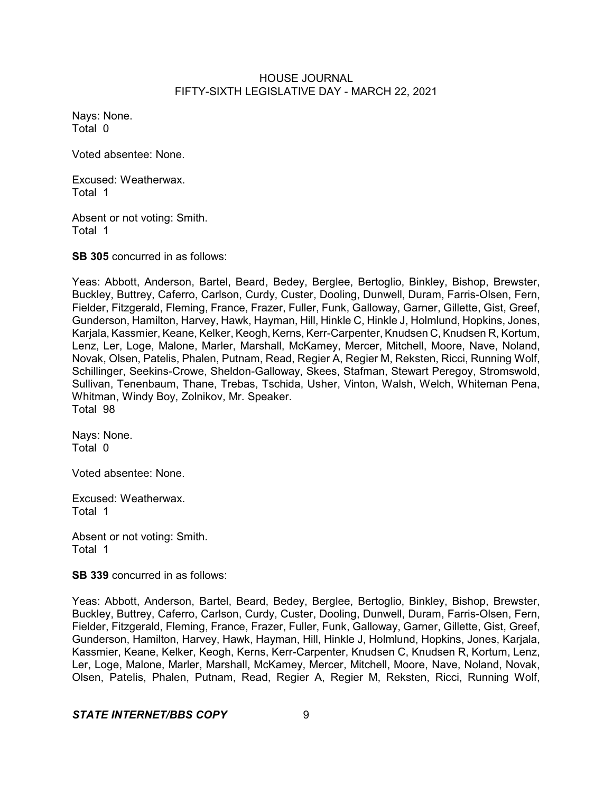Nays: None. Total 0

Voted absentee: None.

Excused: Weatherwax. Total 1

Absent or not voting: Smith. Total 1

**SB 305** concurred in as follows:

Yeas: Abbott, Anderson, Bartel, Beard, Bedey, Berglee, Bertoglio, Binkley, Bishop, Brewster, Buckley, Buttrey, Caferro, Carlson, Curdy, Custer, Dooling, Dunwell, Duram, Farris-Olsen, Fern, Fielder, Fitzgerald, Fleming, France, Frazer, Fuller, Funk, Galloway, Garner, Gillette, Gist, Greef, Gunderson, Hamilton, Harvey, Hawk, Hayman, Hill, Hinkle C, Hinkle J, Holmlund, Hopkins, Jones, Karjala, Kassmier, Keane, Kelker, Keogh, Kerns, Kerr-Carpenter, Knudsen C, Knudsen R, Kortum, Lenz, Ler, Loge, Malone, Marler, Marshall, McKamey, Mercer, Mitchell, Moore, Nave, Noland, Novak, Olsen, Patelis, Phalen, Putnam, Read, Regier A, Regier M, Reksten, Ricci, Running Wolf, Schillinger, Seekins-Crowe, Sheldon-Galloway, Skees, Stafman, Stewart Peregoy, Stromswold, Sullivan, Tenenbaum, Thane, Trebas, Tschida, Usher, Vinton, Walsh, Welch, Whiteman Pena, Whitman, Windy Boy, Zolnikov, Mr. Speaker. Total 98

Nays: None. Total 0

Voted absentee: None.

Excused: Weatherwax. Total 1

Absent or not voting: Smith. Total 1

**SB 339** concurred in as follows:

Yeas: Abbott, Anderson, Bartel, Beard, Bedey, Berglee, Bertoglio, Binkley, Bishop, Brewster, Buckley, Buttrey, Caferro, Carlson, Curdy, Custer, Dooling, Dunwell, Duram, Farris-Olsen, Fern, Fielder, Fitzgerald, Fleming, France, Frazer, Fuller, Funk, Galloway, Garner, Gillette, Gist, Greef, Gunderson, Hamilton, Harvey, Hawk, Hayman, Hill, Hinkle J, Holmlund, Hopkins, Jones, Karjala, Kassmier, Keane, Kelker, Keogh, Kerns, Kerr-Carpenter, Knudsen C, Knudsen R, Kortum, Lenz, Ler, Loge, Malone, Marler, Marshall, McKamey, Mercer, Mitchell, Moore, Nave, Noland, Novak, Olsen, Patelis, Phalen, Putnam, Read, Regier A, Regier M, Reksten, Ricci, Running Wolf,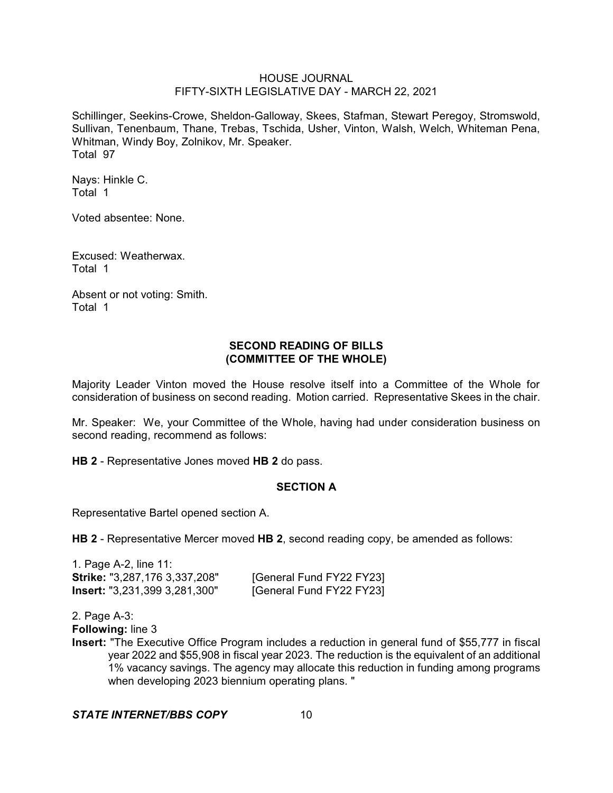Schillinger, Seekins-Crowe, Sheldon-Galloway, Skees, Stafman, Stewart Peregoy, Stromswold, Sullivan, Tenenbaum, Thane, Trebas, Tschida, Usher, Vinton, Walsh, Welch, Whiteman Pena, Whitman, Windy Boy, Zolnikov, Mr. Speaker. Total 97

Nays: Hinkle C. Total 1

Voted absentee: None.

Excused: Weatherwax. Total 1

Absent or not voting: Smith. Total 1

# **SECOND READING OF BILLS (COMMITTEE OF THE WHOLE)**

Majority Leader Vinton moved the House resolve itself into a Committee of the Whole for consideration of business on second reading. Motion carried. Representative Skees in the chair.

Mr. Speaker: We, your Committee of the Whole, having had under consideration business on second reading, recommend as follows:

**HB 2** - Representative Jones moved **HB 2** do pass.

### **SECTION A**

Representative Bartel opened section A.

**HB 2** - Representative Mercer moved **HB 2**, second reading copy, be amended as follows:

1. Page A-2, line 11: **Strike:** "3,287,176 3,337,208" [General Fund FY22 FY23] **Insert:** "3,231,399 3,281,300" [General Fund FY22 FY23]

2. Page A-3:

**Following:** line 3

**Insert:** "The Executive Office Program includes a reduction in general fund of \$55,777 in fiscal year 2022 and \$55,908 in fiscal year 2023. The reduction is the equivalent of an additional 1% vacancy savings. The agency may allocate this reduction in funding among programs when developing 2023 biennium operating plans. "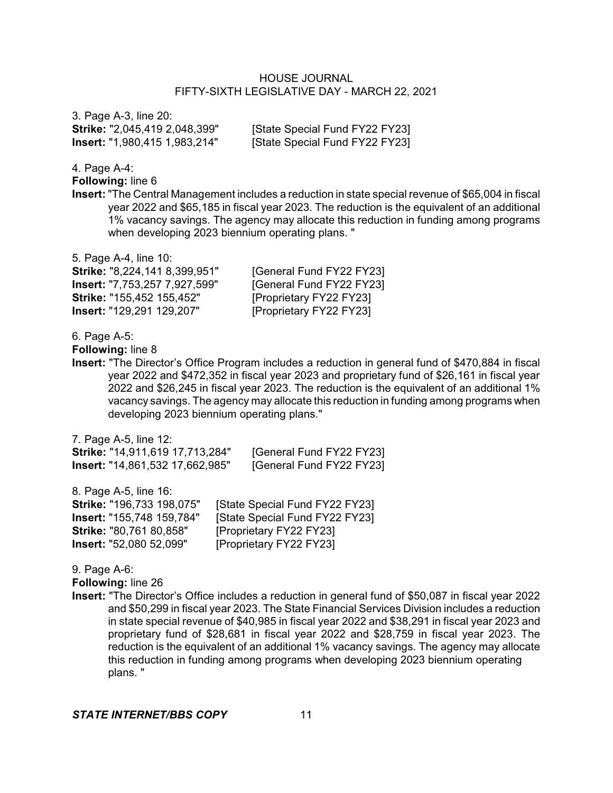3. Page A-3, line 20: **Strike:** "2,045,419 2,048,399" [State Special Fund FY22 FY23] **Insert:** "1,980,415 1,983,214" [State Special Fund FY22 FY23]

4. Page A-4:

**Following:** line 6

**Insert:** "The Central Management includes a reduction in state special revenue of \$65,004 in fiscal year 2022 and \$65,185 in fiscal year 2023. The reduction is the equivalent of an additional 1% vacancy savings. The agency may allocate this reduction in funding among programs when developing 2023 biennium operating plans. "

5. Page A-4, line 10:

**Insert:** "7,753,257 7,927,599" [General Fund FY22 FY23] **Strike:** "155,452 155,452" [Proprietary FY22 FY23] **Insert:** "129,291 129,207" [Proprietary FY22 FY23]

**Strike:** "8,224,141 8,399,951" [General Fund FY22 FY23]

6. Page A-5:

**Following:** line 8

**Insert:** "The Director's Office Program includes a reduction in general fund of \$470,884 in fiscal year 2022 and \$472,352 in fiscal year 2023 and proprietary fund of \$26,161 in fiscal year 2022 and \$26,245 in fiscal year 2023. The reduction is the equivalent of an additional 1% vacancy savings. The agency may allocate this reduction in funding among programs when developing 2023 biennium operating plans."

7. Page A-5, line 12:

| <b>Strike: "14,911,619 17,713,284"</b> | [General Fund FY22 FY23] |
|----------------------------------------|--------------------------|
| <b>Insert:</b> "14,861,532 17,662,985" | [General Fund FY22 FY23] |

8. Page A-5, line 16: **Strike:** "196,733 198,075" [State Special Fund FY22 FY23] **Insert:** "155,748 159,784" [State Special Fund FY22 FY23] **Strike:** "80,761 80,858" [Proprietary FY22 FY23] **Insert:** "52,080 52,099" [Proprietary FY22 FY23]

9. Page A-6:

**Following:** line 26

**Insert:** "The Director's Office includes a reduction in general fund of \$50,087 in fiscal year 2022 and \$50,299 in fiscal year 2023. The State Financial Services Division includes a reduction in state special revenue of \$40,985 in fiscal year 2022 and \$38,291 in fiscal year 2023 and proprietary fund of \$28,681 in fiscal year 2022 and \$28,759 in fiscal year 2023. The reduction is the equivalent of an additional 1% vacancy savings. The agency may allocate this reduction in funding among programs when developing 2023 biennium operating plans. "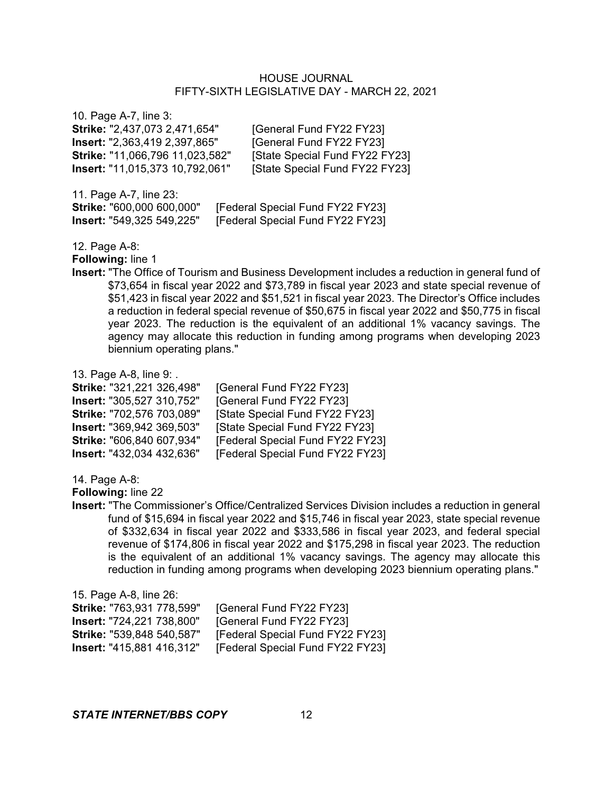| 10. Page A-7, line 3:                  |                                |
|----------------------------------------|--------------------------------|
| Strike: "2,437,073 2,471,654"          | [General Fund FY22 FY23]       |
| <b>Insert:</b> "2,363,419 2,397,865"   | [General Fund FY22 FY23]       |
| Strike: "11,066,796 11,023,582"        | [State Special Fund FY22 FY23] |
| <b>Insert: "11,015,373 10,792,061"</b> | [State Special Fund FY22 FY23] |
|                                        |                                |

| 11. Page A-7, line 23:           |                                  |
|----------------------------------|----------------------------------|
| Strike: "600,000 600,000"        | [Federal Special Fund FY22 FY23] |
| <b>Insert: "549,325 549,225"</b> | [Federal Special Fund FY22 FY23] |

12. Page A-8:

**Following:** line 1

**Insert:** "The Office of Tourism and Business Development includes a reduction in general fund of \$73,654 in fiscal year 2022 and \$73,789 in fiscal year 2023 and state special revenue of \$51,423 in fiscal year 2022 and \$51,521 in fiscal year 2023. The Director's Office includes a reduction in federal special revenue of \$50,675 in fiscal year 2022 and \$50,775 in fiscal year 2023. The reduction is the equivalent of an additional 1% vacancy savings. The agency may allocate this reduction in funding among programs when developing 2023 biennium operating plans."

13. Page A-8, line 9: .

| Strike: "321,221 326,498" | [General Fund FY22 FY23]         |
|---------------------------|----------------------------------|
| Insert: "305,527 310,752" | [General Fund FY22 FY23]         |
| Strike: "702,576 703,089" | [State Special Fund FY22 FY23]   |
| Insert: "369,942 369,503" | [State Special Fund FY22 FY23]   |
| Strike: "606,840 607,934" | [Federal Special Fund FY22 FY23] |
| Insert: "432,034 432,636" | [Federal Special Fund FY22 FY23] |

14. Page A-8:

**Following:** line 22

**Insert:** "The Commissioner's Office/Centralized Services Division includes a reduction in general fund of \$15,694 in fiscal year 2022 and \$15,746 in fiscal year 2023, state special revenue of \$332,634 in fiscal year 2022 and \$333,586 in fiscal year 2023, and federal special revenue of \$174,806 in fiscal year 2022 and \$175,298 in fiscal year 2023. The reduction is the equivalent of an additional 1% vacancy savings. The agency may allocate this reduction in funding among programs when developing 2023 biennium operating plans."

| [General Fund FY22 FY23]         |
|----------------------------------|
| [General Fund FY22 FY23]         |
| [Federal Special Fund FY22 FY23] |
| [Federal Special Fund FY22 FY23] |
|                                  |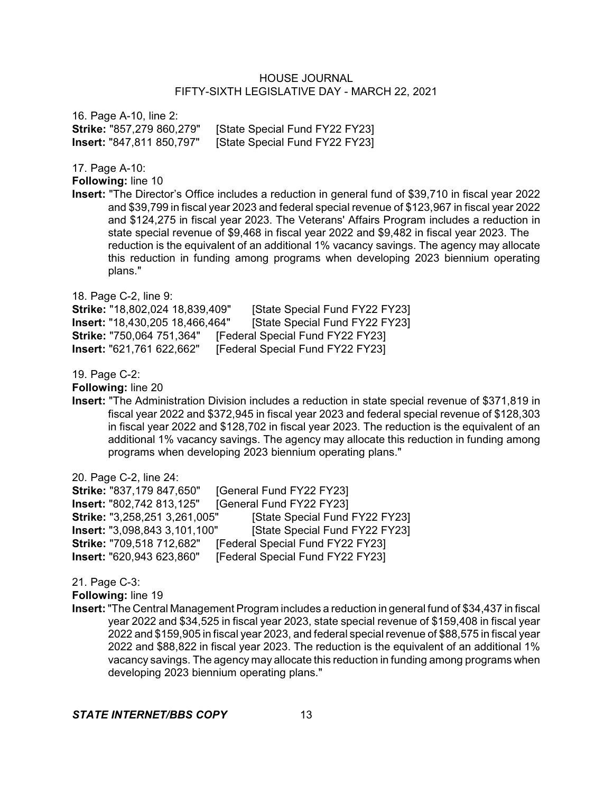16. Page A-10, line 2: **Strike:** "857,279 860,279" [State Special Fund FY22 FY23] **Insert:** "847,811 850,797" [State Special Fund FY22 FY23]

17. Page A-10:

**Following:** line 10

**Insert:** "The Director's Office includes a reduction in general fund of \$39,710 in fiscal year 2022 and \$39,799 in fiscal year 2023 and federal special revenue of \$123,967 in fiscal year 2022 and \$124,275 in fiscal year 2023. The Veterans' Affairs Program includes a reduction in state special revenue of \$9,468 in fiscal year 2022 and \$9,482 in fiscal year 2023. The reduction is the equivalent of an additional 1% vacancy savings. The agency may allocate this reduction in funding among programs when developing 2023 biennium operating plans."

18. Page C-2, line 9: **Strike:** "18,802,024 18,839,409" [State Special Fund FY22 FY23] **Insert:** "18,430,205 18,466,464" [State Special Fund FY22 FY23] **Strike:** "750,064 751,364" [Federal Special Fund FY22 FY23] **Insert:** "621,761 622,662" [Federal Special Fund FY22 FY23]

19. Page C-2:

**Following:** line 20

**Insert:** "The Administration Division includes a reduction in state special revenue of \$371,819 in fiscal year 2022 and \$372,945 in fiscal year 2023 and federal special revenue of \$128,303 in fiscal year 2022 and \$128,702 in fiscal year 2023. The reduction is the equivalent of an additional 1% vacancy savings. The agency may allocate this reduction in funding among programs when developing 2023 biennium operating plans."

20. Page C-2, line 24:

**Strike:** "837,179 847,650" [General Fund FY22 FY23] **Insert:** "802,742 813,125" [General Fund FY22 FY23] **Strike:** "3,258,251 3,261,005" [State Special Fund FY22 FY23] **Insert:** "3,098,843 3,101,100" [State Special Fund FY22 FY23] **Strike:** "709,518 712,682" [Federal Special Fund FY22 FY23] **Insert:** "620,943 623,860" [Federal Special Fund FY22 FY23]

21. Page C-3:

**Following:** line 19

**Insert:**"The Central Management Program includes a reduction in general fund of \$34,437 in fiscal year 2022 and \$34,525 in fiscal year 2023, state special revenue of \$159,408 in fiscal year 2022 and \$159,905 in fiscal year 2023, and federal special revenue of \$88,575 in fiscal year 2022 and \$88,822 in fiscal year 2023. The reduction is the equivalent of an additional 1% vacancy savings. The agency may allocate this reduction in funding among programs when developing 2023 biennium operating plans."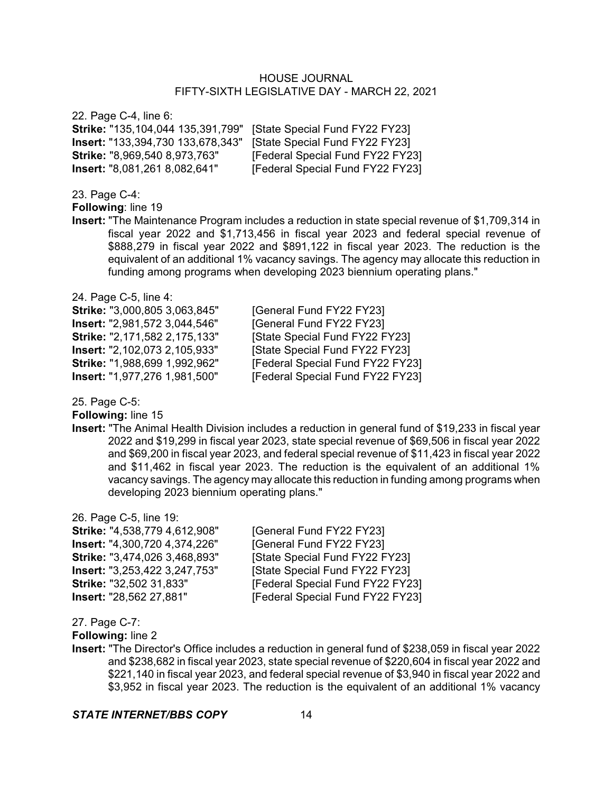22. Page C-4, line 6: **Strike:** "135,104,044 135,391,799" [State Special Fund FY22 FY23] **Insert:** "133,394,730 133,678,343" [State Special Fund FY22 FY23] **Strike: "8,969,540 8,973,763" [Federal Special Fund FY22 FY23] Insert:** "8,081,261 8,082,641" [Federal Special Fund FY22 FY23]

23. Page C-4:

**Following**: line 19

**Insert:** "The Maintenance Program includes a reduction in state special revenue of \$1,709,314 in fiscal year 2022 and \$1,713,456 in fiscal year 2023 and federal special revenue of \$888,279 in fiscal year 2022 and \$891,122 in fiscal year 2023. The reduction is the equivalent of an additional 1% vacancy savings. The agency may allocate this reduction in funding among programs when developing 2023 biennium operating plans."

24. Page C-5, line 4: **Strike:** "3,000,805 3,063,845" [General Fund FY22 FY23] **Insert:** "2,981,572 3,044,546" [General Fund FY22 FY23]

**Strike:** "2,171,582 2,175,133" [State Special Fund FY22 FY23] **Insert:** "2,102,073 2,105,933" [State Special Fund FY22 FY23] **Strike:** "1,988,699 1,992,962" [Federal Special Fund FY22 FY23] **Insert:** "1,977,276 1,981,500" [Federal Special Fund FY22 FY23]

25. Page C-5:

**Following:** line 15

**Insert:** "The Animal Health Division includes a reduction in general fund of \$19,233 in fiscal year 2022 and \$19,299 in fiscal year 2023, state special revenue of \$69,506 in fiscal year 2022 and \$69,200 in fiscal year 2023, and federal special revenue of \$11,423 in fiscal year 2022 and \$11,462 in fiscal year 2023. The reduction is the equivalent of an additional 1% vacancy savings. The agency may allocate this reduction in funding among programs when developing 2023 biennium operating plans."

26. Page C-5, line 19:

**Insert:** "4,300,720 4,374,226" [General Fund FY22 FY23]

**Strike:** "4,538,779 4,612,908" [General Fund FY22 FY23] **Strike:** "3,474,026 3,468,893" [State Special Fund FY22 FY23] **Insert:** "3,253,422 3,247,753" [State Special Fund FY22 FY23] **Strike:** "32,502 31,833" **[Federal Special Fund FY22 FY23] Insert:** "28,562 27,881" [Federal Special Fund FY22 FY23]

27. Page C-7:

**Following:** line 2

**Insert:** "The Director's Office includes a reduction in general fund of \$238,059 in fiscal year 2022 and \$238,682 in fiscal year 2023, state special revenue of \$220,604 in fiscal year 2022 and \$221,140 in fiscal year 2023, and federal special revenue of \$3,940 in fiscal year 2022 and \$3,952 in fiscal year 2023. The reduction is the equivalent of an additional 1% vacancy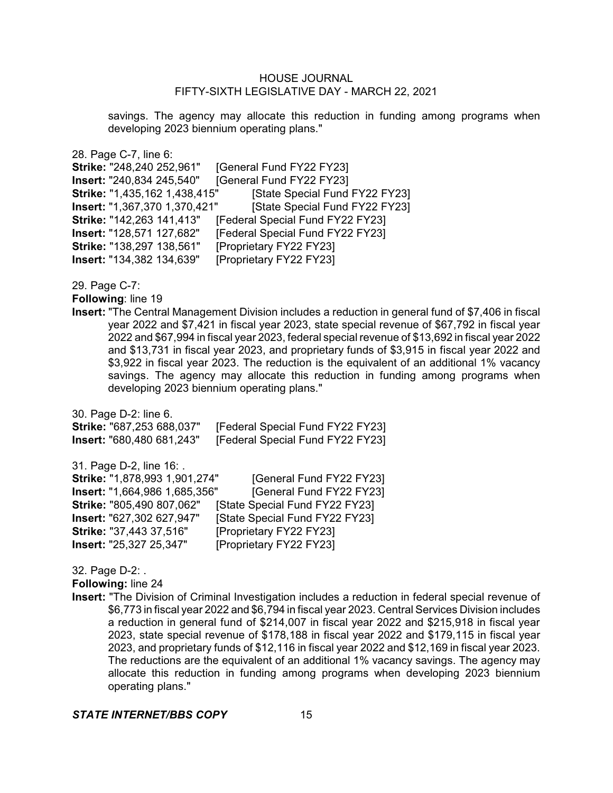savings. The agency may allocate this reduction in funding among programs when developing 2023 biennium operating plans."

28. Page C-7, line 6: **Strike:** "248,240 252,961" [General Fund FY22 FY23] **Insert:** "240,834 245,540" [General Fund FY22 FY23] **Strike:** "1,435,162 1,438,415" [State Special Fund FY22 FY23] **Insert:** "1,367,370 1,370,421" [State Special Fund FY22 FY23] **Strike:** "142,263 141,413" [Federal Special Fund FY22 FY23] **Insert:** "128,571 127,682" [Federal Special Fund FY22 FY23] **Strike:** "138,297 138,561" [Proprietary FY22 FY23] **Insert:** "134,382 134,639" [Proprietary FY22 FY23]

29. Page C-7:

**Following**: line 19

**Insert:** "The Central Management Division includes a reduction in general fund of \$7,406 in fiscal year 2022 and \$7,421 in fiscal year 2023, state special revenue of \$67,792 in fiscal year 2022 and \$67,994 in fiscal year 2023, federal special revenue of \$13,692 in fiscal year 2022 and \$13,731 in fiscal year 2023, and proprietary funds of \$3,915 in fiscal year 2022 and \$3,922 in fiscal year 2023. The reduction is the equivalent of an additional 1% vacancy savings. The agency may allocate this reduction in funding among programs when developing 2023 biennium operating plans."

30. Page D-2: line 6. **Strike:** "687,253 688,037" [Federal Special Fund FY22 FY23] **Insert:** "680,480 681,243" [Federal Special Fund FY22 FY23] 31. Page D-2, line 16: . **Strike:** "1,878,993 1,901,274" [General Fund FY22 FY23] **Insert:** "1,664,986 1,685,356" [General Fund FY22 FY23] **Strike:** "805,490 807,062" [State Special Fund FY22 FY23] **Insert:** "627,302 627,947" [State Special Fund FY22 FY23] **Strike:** "37,443 37,516" [Proprietary FY22 FY23] **Insert:** "25,327 25,347" [Proprietary FY22 FY23]

32. Page D-2: . **Following:** line 24

**Insert:** "The Division of Criminal Investigation includes a reduction in federal special revenue of \$6,773 in fiscal year 2022 and \$6,794 in fiscal year 2023. Central Services Division includes a reduction in general fund of \$214,007 in fiscal year 2022 and \$215,918 in fiscal year 2023, state special revenue of \$178,188 in fiscal year 2022 and \$179,115 in fiscal year 2023, and proprietary funds of \$12,116 in fiscal year 2022 and \$12,169 in fiscal year 2023. The reductions are the equivalent of an additional 1% vacancy savings. The agency may allocate this reduction in funding among programs when developing 2023 biennium operating plans."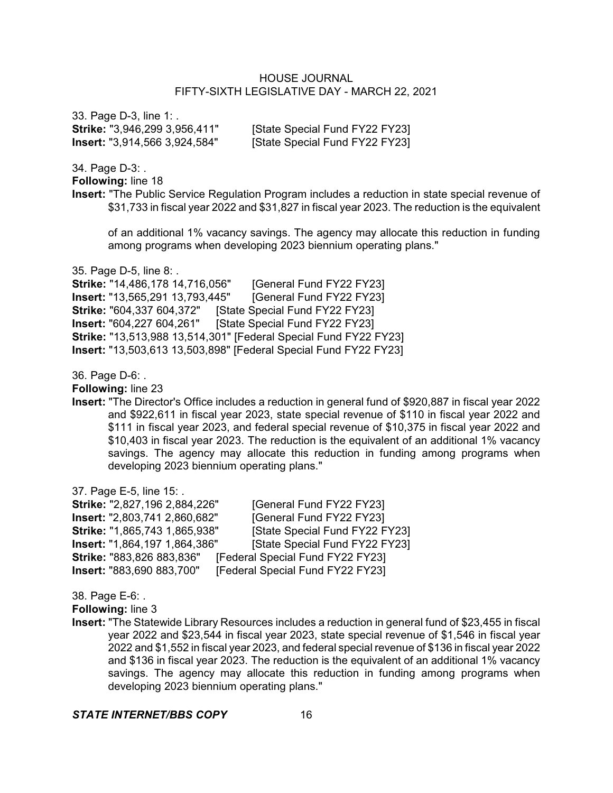33. Page D-3, line 1: . **Strike:** "3,946,299 3,956,411" [State Special Fund FY22 FY23] **Insert:** "3,914,566 3,924,584" [State Special Fund FY22 FY23]

34. Page D-3: .

**Following:** line 18

**Insert:** "The Public Service Regulation Program includes a reduction in state special revenue of \$31,733 in fiscal year 2022 and \$31,827 in fiscal year 2023. The reduction is the equivalent

of an additional 1% vacancy savings. The agency may allocate this reduction in funding among programs when developing 2023 biennium operating plans."

35. Page D-5, line 8: .

**Strike:** "14,486,178 14,716,056" [General Fund FY22 FY23] **Insert:** "13,565,291 13,793,445" [General Fund FY22 FY23] **Strike:** "604,337 604,372" [State Special Fund FY22 FY23] **Insert:** "604,227 604,261" [State Special Fund FY22 FY23] **Strike:** "13,513,988 13,514,301" [Federal Special Fund FY22 FY23] **Insert:** "13,503,613 13,503,898" [Federal Special Fund FY22 FY23]

36. Page D-6: .

**Following:** line 23

**Insert:** "The Director's Office includes a reduction in general fund of \$920,887 in fiscal year 2022 and \$922,611 in fiscal year 2023, state special revenue of \$110 in fiscal year 2022 and \$111 in fiscal year 2023, and federal special revenue of \$10,375 in fiscal year 2022 and \$10,403 in fiscal year 2023. The reduction is the equivalent of an additional 1% vacancy savings. The agency may allocate this reduction in funding among programs when developing 2023 biennium operating plans."

37. Page E-5, line 15: .

**Strike:** "2,827,196 2,884,226" [General Fund FY22 FY23] **Insert:** "2,803,741 2,860,682" [General Fund FY22 FY23] **Strike:** "1,865,743 1,865,938" [State Special Fund FY22 FY23] **Insert:** "1,864,197 1,864,386" [State Special Fund FY22 FY23] **Strike:** "883,826 883,836" [Federal Special Fund FY22 FY23] **Insert:** "883,690 883,700" [Federal Special Fund FY22 FY23]

38. Page E-6: .

**Following:** line 3

**Insert:** "The Statewide Library Resources includes a reduction in general fund of \$23,455 in fiscal year 2022 and \$23,544 in fiscal year 2023, state special revenue of \$1,546 in fiscal year 2022 and \$1,552 in fiscal year 2023, and federal special revenue of \$136 in fiscal year 2022 and \$136 in fiscal year 2023. The reduction is the equivalent of an additional 1% vacancy savings. The agency may allocate this reduction in funding among programs when developing 2023 biennium operating plans."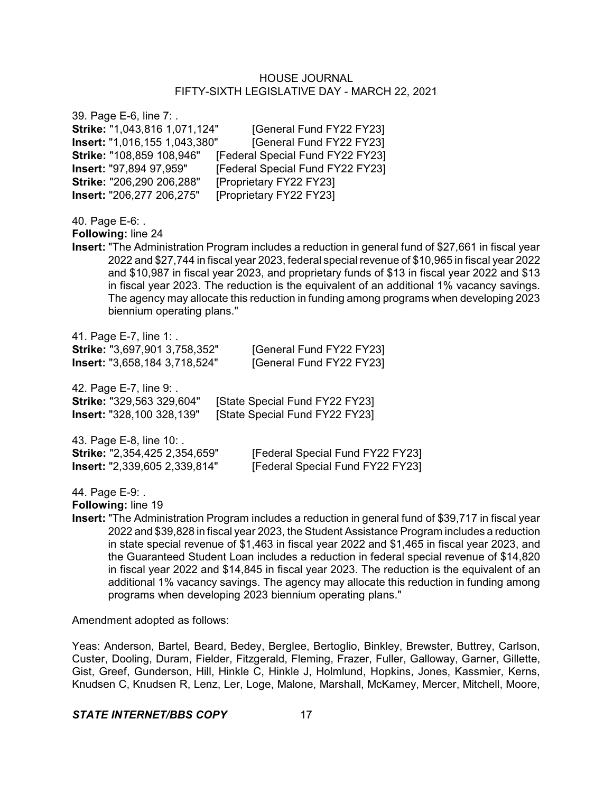39. Page E-6, line 7: . **Strike:** "1,043,816 1,071,124" [General Fund FY22 FY23] **Insert:** "1,016,155 1,043,380" [General Fund FY22 FY23] **Strike:** "108,859 108,946" [Federal Special Fund FY22 FY23] **Insert:** "97,894 97,959" [Federal Special Fund FY22 FY23] **Strike:** "206,290 206,288" [Proprietary FY22 FY23] **Insert:** "206,277 206,275" [Proprietary FY22 FY23] 40. Page E-6: . **Following:** line 24 **Insert:** "The Administration Program includes a reduction in general fund of \$27,661 in fiscal year 2022 and \$27,744 in fiscal year 2023, federal special revenue of \$10,965 in fiscal year 2022 and \$10,987 in fiscal year 2023, and proprietary funds of \$13 in fiscal year 2022 and \$13 in fiscal year 2023. The reduction is the equivalent of an additional 1% vacancy savings. The agency may allocate this reduction in funding among programs when developing 2023 biennium operating plans." 41. Page E-7, line 1: . **Strike:** "3,697,901 3,758,352" [General Fund FY22 FY23] **Insert:** "3,658,184 3,718,524" [General Fund FY22 FY23] 42. Page E-7, line 9: . **Strike:** "329,563 329,604" [State Special Fund FY22 FY23] **Insert:** "328,100 328,139" [State Special Fund FY22 FY23] 43. Page E-8, line 10: . **Strike:** "2,354,425 2,354,659" [Federal Special Fund FY22 FY23] **Insert:** "2,339,605 2,339,814" [Federal Special Fund FY22 FY23] 44. Page E-9: . **Following:** line 19

**Insert:** "The Administration Program includes a reduction in general fund of \$39,717 in fiscal year 2022 and \$39,828 in fiscal year 2023, the Student Assistance Program includes a reduction in state special revenue of \$1,463 in fiscal year 2022 and \$1,465 in fiscal year 2023, and the Guaranteed Student Loan includes a reduction in federal special revenue of \$14,820 in fiscal year 2022 and \$14,845 in fiscal year 2023. The reduction is the equivalent of an additional 1% vacancy savings. The agency may allocate this reduction in funding among programs when developing 2023 biennium operating plans."

Amendment adopted as follows:

Yeas: Anderson, Bartel, Beard, Bedey, Berglee, Bertoglio, Binkley, Brewster, Buttrey, Carlson, Custer, Dooling, Duram, Fielder, Fitzgerald, Fleming, Frazer, Fuller, Galloway, Garner, Gillette, Gist, Greef, Gunderson, Hill, Hinkle C, Hinkle J, Holmlund, Hopkins, Jones, Kassmier, Kerns, Knudsen C, Knudsen R, Lenz, Ler, Loge, Malone, Marshall, McKamey, Mercer, Mitchell, Moore,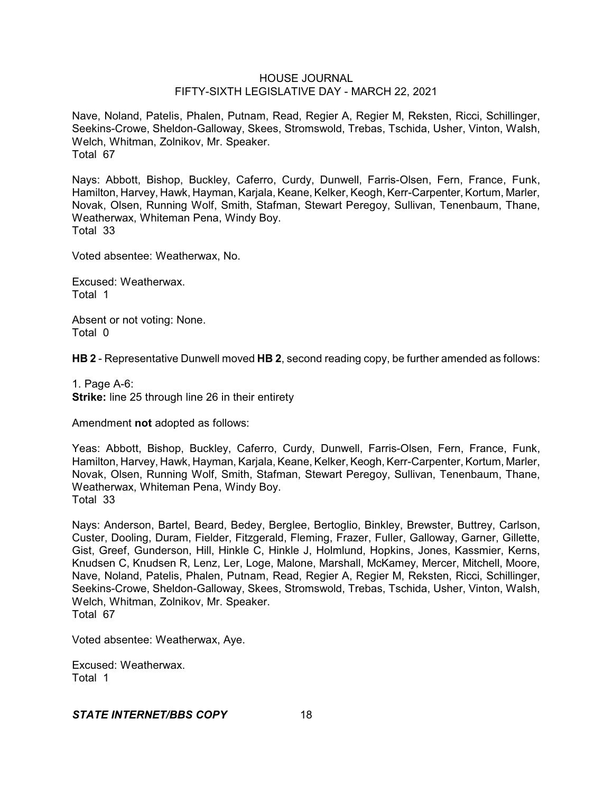Nave, Noland, Patelis, Phalen, Putnam, Read, Regier A, Regier M, Reksten, Ricci, Schillinger, Seekins-Crowe, Sheldon-Galloway, Skees, Stromswold, Trebas, Tschida, Usher, Vinton, Walsh, Welch, Whitman, Zolnikov, Mr. Speaker. Total 67

Nays: Abbott, Bishop, Buckley, Caferro, Curdy, Dunwell, Farris-Olsen, Fern, France, Funk, Hamilton, Harvey, Hawk, Hayman, Karjala, Keane, Kelker, Keogh, Kerr-Carpenter, Kortum, Marler, Novak, Olsen, Running Wolf, Smith, Stafman, Stewart Peregoy, Sullivan, Tenenbaum, Thane, Weatherwax, Whiteman Pena, Windy Boy. Total 33

Voted absentee: Weatherwax, No.

Excused: Weatherwax. Total 1

Absent or not voting: None. Total 0

**HB 2** - Representative Dunwell moved **HB 2**, second reading copy, be further amended as follows:

1. Page A-6: **Strike:** line 25 through line 26 in their entirety

Amendment **not** adopted as follows:

Yeas: Abbott, Bishop, Buckley, Caferro, Curdy, Dunwell, Farris-Olsen, Fern, France, Funk, Hamilton, Harvey, Hawk, Hayman, Karjala, Keane, Kelker, Keogh, Kerr-Carpenter, Kortum, Marler, Novak, Olsen, Running Wolf, Smith, Stafman, Stewart Peregoy, Sullivan, Tenenbaum, Thane, Weatherwax, Whiteman Pena, Windy Boy. Total 33

Nays: Anderson, Bartel, Beard, Bedey, Berglee, Bertoglio, Binkley, Brewster, Buttrey, Carlson, Custer, Dooling, Duram, Fielder, Fitzgerald, Fleming, Frazer, Fuller, Galloway, Garner, Gillette, Gist, Greef, Gunderson, Hill, Hinkle C, Hinkle J, Holmlund, Hopkins, Jones, Kassmier, Kerns, Knudsen C, Knudsen R, Lenz, Ler, Loge, Malone, Marshall, McKamey, Mercer, Mitchell, Moore, Nave, Noland, Patelis, Phalen, Putnam, Read, Regier A, Regier M, Reksten, Ricci, Schillinger, Seekins-Crowe, Sheldon-Galloway, Skees, Stromswold, Trebas, Tschida, Usher, Vinton, Walsh, Welch, Whitman, Zolnikov, Mr. Speaker. Total 67

Voted absentee: Weatherwax, Aye.

Excused: Weatherwax. Total 1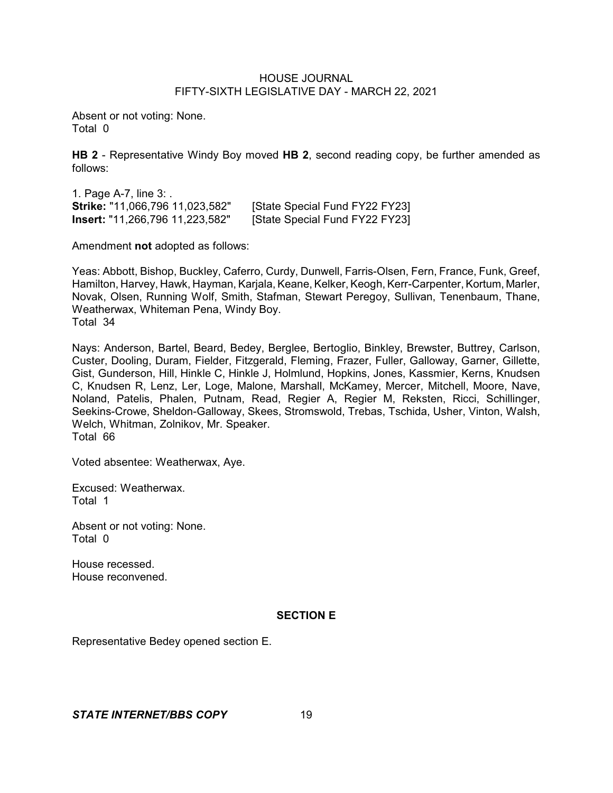Absent or not voting: None. Total 0

**HB 2** - Representative Windy Boy moved **HB 2**, second reading copy, be further amended as follows:

1. Page A-7, line 3: . **Strike:** "11,066,796 11,023,582" [State Special Fund FY22 FY23] **Insert:** "11,266,796 11,223,582" [State Special Fund FY22 FY23]

Amendment **not** adopted as follows:

Yeas: Abbott, Bishop, Buckley, Caferro, Curdy, Dunwell, Farris-Olsen, Fern, France, Funk, Greef, Hamilton, Harvey, Hawk, Hayman, Karjala, Keane, Kelker, Keogh, Kerr-Carpenter, Kortum, Marler, Novak, Olsen, Running Wolf, Smith, Stafman, Stewart Peregoy, Sullivan, Tenenbaum, Thane, Weatherwax, Whiteman Pena, Windy Boy. Total 34

Nays: Anderson, Bartel, Beard, Bedey, Berglee, Bertoglio, Binkley, Brewster, Buttrey, Carlson, Custer, Dooling, Duram, Fielder, Fitzgerald, Fleming, Frazer, Fuller, Galloway, Garner, Gillette, Gist, Gunderson, Hill, Hinkle C, Hinkle J, Holmlund, Hopkins, Jones, Kassmier, Kerns, Knudsen C, Knudsen R, Lenz, Ler, Loge, Malone, Marshall, McKamey, Mercer, Mitchell, Moore, Nave, Noland, Patelis, Phalen, Putnam, Read, Regier A, Regier M, Reksten, Ricci, Schillinger, Seekins-Crowe, Sheldon-Galloway, Skees, Stromswold, Trebas, Tschida, Usher, Vinton, Walsh, Welch, Whitman, Zolnikov, Mr. Speaker. Total 66

Voted absentee: Weatherwax, Aye.

Excused: Weatherwax. Total 1

Absent or not voting: None. Total 0

House recessed. House reconvened.

### **SECTION E**

Representative Bedey opened section E.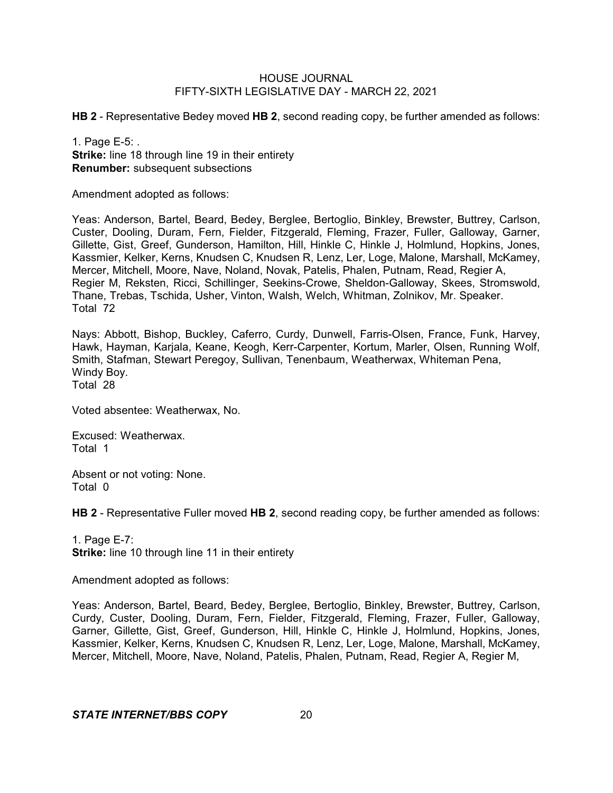**HB 2** - Representative Bedey moved **HB 2**, second reading copy, be further amended as follows:

1. Page E-5: . **Strike:** line 18 through line 19 in their entirety **Renumber:** subsequent subsections

Amendment adopted as follows:

Yeas: Anderson, Bartel, Beard, Bedey, Berglee, Bertoglio, Binkley, Brewster, Buttrey, Carlson, Custer, Dooling, Duram, Fern, Fielder, Fitzgerald, Fleming, Frazer, Fuller, Galloway, Garner, Gillette, Gist, Greef, Gunderson, Hamilton, Hill, Hinkle C, Hinkle J, Holmlund, Hopkins, Jones, Kassmier, Kelker, Kerns, Knudsen C, Knudsen R, Lenz, Ler, Loge, Malone, Marshall, McKamey, Mercer, Mitchell, Moore, Nave, Noland, Novak, Patelis, Phalen, Putnam, Read, Regier A, Regier M, Reksten, Ricci, Schillinger, Seekins-Crowe, Sheldon-Galloway, Skees, Stromswold, Thane, Trebas, Tschida, Usher, Vinton, Walsh, Welch, Whitman, Zolnikov, Mr. Speaker. Total 72

Nays: Abbott, Bishop, Buckley, Caferro, Curdy, Dunwell, Farris-Olsen, France, Funk, Harvey, Hawk, Hayman, Karjala, Keane, Keogh, Kerr-Carpenter, Kortum, Marler, Olsen, Running Wolf, Smith, Stafman, Stewart Peregoy, Sullivan, Tenenbaum, Weatherwax, Whiteman Pena, Windy Boy.

Total 28

Voted absentee: Weatherwax, No.

Excused: Weatherwax. Total 1

Absent or not voting: None. Total 0

**HB 2** - Representative Fuller moved **HB 2**, second reading copy, be further amended as follows:

1. Page E-7: **Strike:** line 10 through line 11 in their entirety

Amendment adopted as follows:

Yeas: Anderson, Bartel, Beard, Bedey, Berglee, Bertoglio, Binkley, Brewster, Buttrey, Carlson, Curdy, Custer, Dooling, Duram, Fern, Fielder, Fitzgerald, Fleming, Frazer, Fuller, Galloway, Garner, Gillette, Gist, Greef, Gunderson, Hill, Hinkle C, Hinkle J, Holmlund, Hopkins, Jones, Kassmier, Kelker, Kerns, Knudsen C, Knudsen R, Lenz, Ler, Loge, Malone, Marshall, McKamey, Mercer, Mitchell, Moore, Nave, Noland, Patelis, Phalen, Putnam, Read, Regier A, Regier M,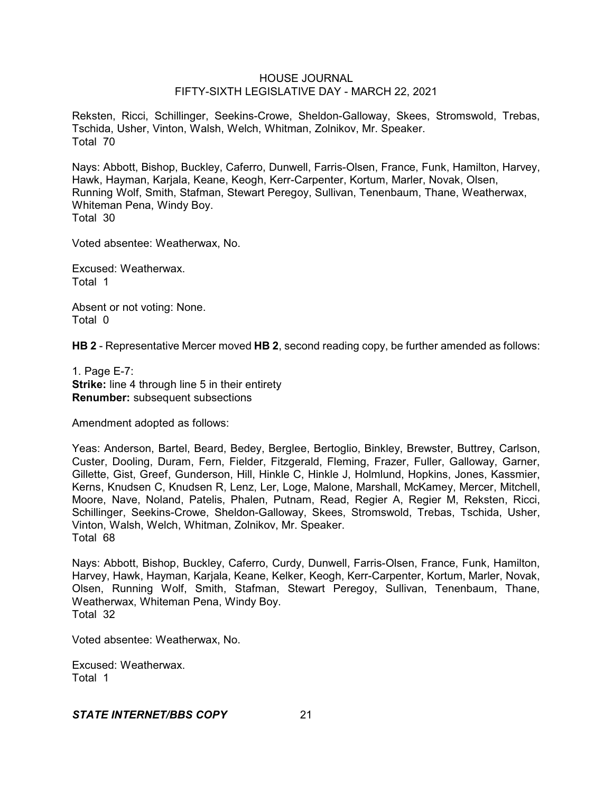Reksten, Ricci, Schillinger, Seekins-Crowe, Sheldon-Galloway, Skees, Stromswold, Trebas, Tschida, Usher, Vinton, Walsh, Welch, Whitman, Zolnikov, Mr. Speaker. Total 70

Nays: Abbott, Bishop, Buckley, Caferro, Dunwell, Farris-Olsen, France, Funk, Hamilton, Harvey, Hawk, Hayman, Karjala, Keane, Keogh, Kerr-Carpenter, Kortum, Marler, Novak, Olsen, Running Wolf, Smith, Stafman, Stewart Peregoy, Sullivan, Tenenbaum, Thane, Weatherwax, Whiteman Pena, Windy Boy. Total 30

Voted absentee: Weatherwax, No.

Excused: Weatherwax. Total 1

Absent or not voting: None. Total 0

**HB 2** - Representative Mercer moved **HB 2**, second reading copy, be further amended as follows:

1. Page E-7: **Strike:** line 4 through line 5 in their entirety **Renumber:** subsequent subsections

Amendment adopted as follows:

Yeas: Anderson, Bartel, Beard, Bedey, Berglee, Bertoglio, Binkley, Brewster, Buttrey, Carlson, Custer, Dooling, Duram, Fern, Fielder, Fitzgerald, Fleming, Frazer, Fuller, Galloway, Garner, Gillette, Gist, Greef, Gunderson, Hill, Hinkle C, Hinkle J, Holmlund, Hopkins, Jones, Kassmier, Kerns, Knudsen C, Knudsen R, Lenz, Ler, Loge, Malone, Marshall, McKamey, Mercer, Mitchell, Moore, Nave, Noland, Patelis, Phalen, Putnam, Read, Regier A, Regier M, Reksten, Ricci, Schillinger, Seekins-Crowe, Sheldon-Galloway, Skees, Stromswold, Trebas, Tschida, Usher, Vinton, Walsh, Welch, Whitman, Zolnikov, Mr. Speaker. Total 68

Nays: Abbott, Bishop, Buckley, Caferro, Curdy, Dunwell, Farris-Olsen, France, Funk, Hamilton, Harvey, Hawk, Hayman, Karjala, Keane, Kelker, Keogh, Kerr-Carpenter, Kortum, Marler, Novak, Olsen, Running Wolf, Smith, Stafman, Stewart Peregoy, Sullivan, Tenenbaum, Thane, Weatherwax, Whiteman Pena, Windy Boy. Total 32

Voted absentee: Weatherwax, No.

Excused: Weatherwax. Total 1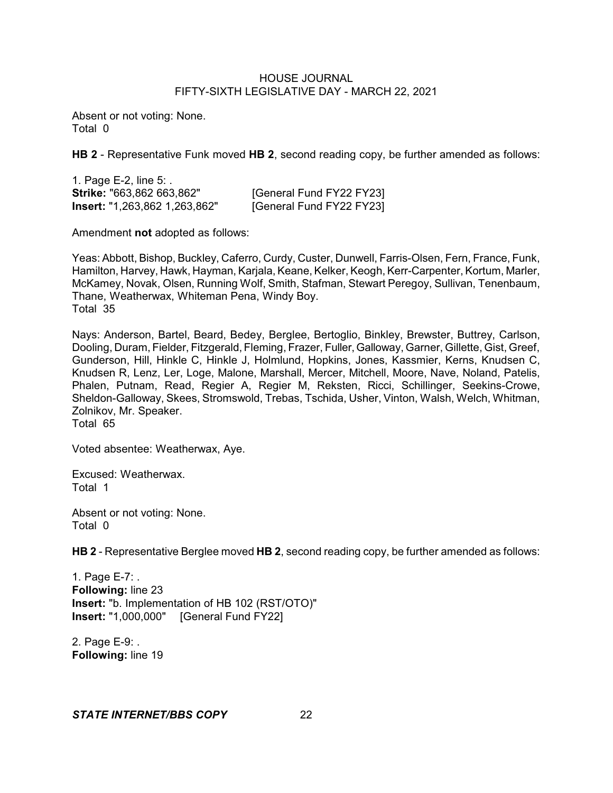Absent or not voting: None. Total 0

**HB 2** - Representative Funk moved **HB 2**, second reading copy, be further amended as follows:

1. Page E-2, line 5: . **Strike:** "663,862 663,862" [General Fund FY22 FY23] **Insert:** "1,263,862 1,263,862" [General Fund FY22 FY23]

Amendment **not** adopted as follows:

Yeas: Abbott, Bishop, Buckley, Caferro, Curdy, Custer, Dunwell, Farris-Olsen, Fern, France, Funk, Hamilton, Harvey, Hawk, Hayman, Karjala, Keane, Kelker, Keogh, Kerr-Carpenter, Kortum, Marler, McKamey, Novak, Olsen, Running Wolf, Smith, Stafman, Stewart Peregoy, Sullivan, Tenenbaum, Thane, Weatherwax, Whiteman Pena, Windy Boy. Total 35

Nays: Anderson, Bartel, Beard, Bedey, Berglee, Bertoglio, Binkley, Brewster, Buttrey, Carlson, Dooling, Duram, Fielder, Fitzgerald, Fleming, Frazer, Fuller, Galloway, Garner, Gillette, Gist, Greef, Gunderson, Hill, Hinkle C, Hinkle J, Holmlund, Hopkins, Jones, Kassmier, Kerns, Knudsen C, Knudsen R, Lenz, Ler, Loge, Malone, Marshall, Mercer, Mitchell, Moore, Nave, Noland, Patelis, Phalen, Putnam, Read, Regier A, Regier M, Reksten, Ricci, Schillinger, Seekins-Crowe, Sheldon-Galloway, Skees, Stromswold, Trebas, Tschida, Usher, Vinton, Walsh, Welch, Whitman, Zolnikov, Mr. Speaker. Total 65

Voted absentee: Weatherwax, Aye.

Excused: Weatherwax. Total 1

Absent or not voting: None. Total 0

**HB 2** - Representative Berglee moved **HB 2**, second reading copy, be further amended as follows:

1. Page E-7: . **Following:** line 23 **Insert:** "b. Implementation of HB 102 (RST/OTO)" **Insert:** "1,000,000" [General Fund FY22]

2. Page E-9: . **Following:** line 19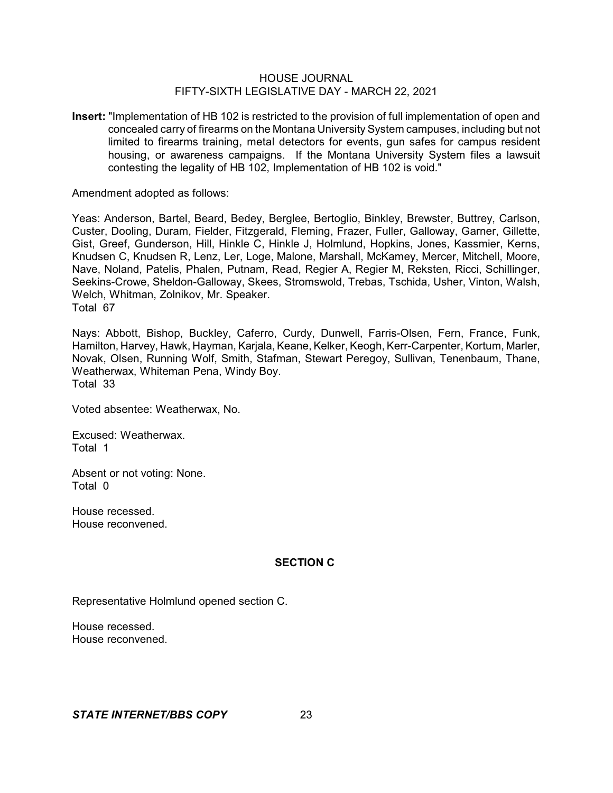**Insert:** "Implementation of HB 102 is restricted to the provision of full implementation of open and concealed carry of firearms on the Montana University System campuses, including but not limited to firearms training, metal detectors for events, gun safes for campus resident housing, or awareness campaigns. If the Montana University System files a lawsuit contesting the legality of HB 102, Implementation of HB 102 is void."

Amendment adopted as follows:

Yeas: Anderson, Bartel, Beard, Bedey, Berglee, Bertoglio, Binkley, Brewster, Buttrey, Carlson, Custer, Dooling, Duram, Fielder, Fitzgerald, Fleming, Frazer, Fuller, Galloway, Garner, Gillette, Gist, Greef, Gunderson, Hill, Hinkle C, Hinkle J, Holmlund, Hopkins, Jones, Kassmier, Kerns, Knudsen C, Knudsen R, Lenz, Ler, Loge, Malone, Marshall, McKamey, Mercer, Mitchell, Moore, Nave, Noland, Patelis, Phalen, Putnam, Read, Regier A, Regier M, Reksten, Ricci, Schillinger, Seekins-Crowe, Sheldon-Galloway, Skees, Stromswold, Trebas, Tschida, Usher, Vinton, Walsh, Welch, Whitman, Zolnikov, Mr. Speaker. Total 67

Nays: Abbott, Bishop, Buckley, Caferro, Curdy, Dunwell, Farris-Olsen, Fern, France, Funk, Hamilton, Harvey, Hawk, Hayman, Karjala, Keane, Kelker, Keogh, Kerr-Carpenter, Kortum, Marler, Novak, Olsen, Running Wolf, Smith, Stafman, Stewart Peregoy, Sullivan, Tenenbaum, Thane, Weatherwax, Whiteman Pena, Windy Boy. Total 33

Voted absentee: Weatherwax, No.

Excused: Weatherwax. Total 1

Absent or not voting: None. Total 0

House recessed. House reconvened.

### **SECTION C**

Representative Holmlund opened section C.

House recessed. House reconvened.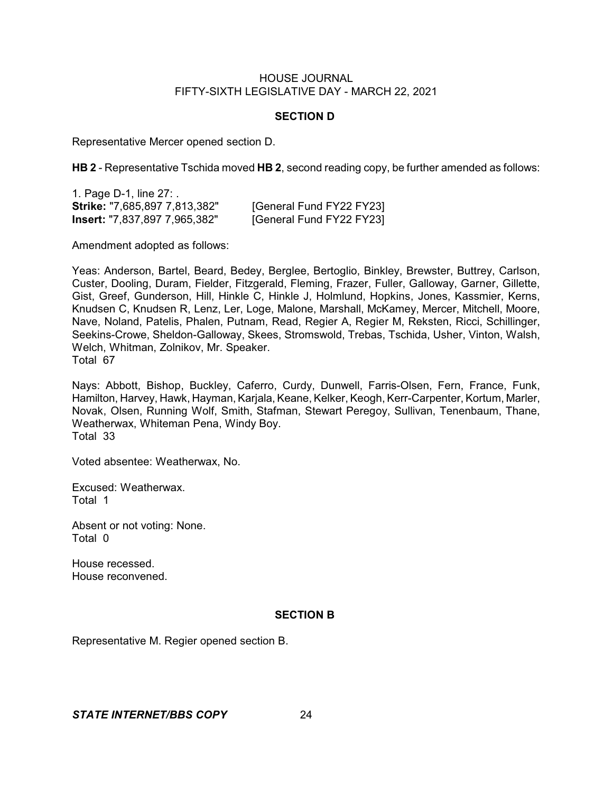### **SECTION D**

Representative Mercer opened section D.

**HB 2** - Representative Tschida moved **HB 2**, second reading copy, be further amended as follows:

1. Page D-1, line 27: . **Strike:** "7,685,897 7,813,382" [General Fund FY22 FY23] **Insert:** "7,837,897 7,965,382" [General Fund FY22 FY23]

Amendment adopted as follows:

Yeas: Anderson, Bartel, Beard, Bedey, Berglee, Bertoglio, Binkley, Brewster, Buttrey, Carlson, Custer, Dooling, Duram, Fielder, Fitzgerald, Fleming, Frazer, Fuller, Galloway, Garner, Gillette, Gist, Greef, Gunderson, Hill, Hinkle C, Hinkle J, Holmlund, Hopkins, Jones, Kassmier, Kerns, Knudsen C, Knudsen R, Lenz, Ler, Loge, Malone, Marshall, McKamey, Mercer, Mitchell, Moore, Nave, Noland, Patelis, Phalen, Putnam, Read, Regier A, Regier M, Reksten, Ricci, Schillinger, Seekins-Crowe, Sheldon-Galloway, Skees, Stromswold, Trebas, Tschida, Usher, Vinton, Walsh, Welch, Whitman, Zolnikov, Mr. Speaker. Total 67

Nays: Abbott, Bishop, Buckley, Caferro, Curdy, Dunwell, Farris-Olsen, Fern, France, Funk, Hamilton, Harvey, Hawk, Hayman, Karjala, Keane, Kelker, Keogh, Kerr-Carpenter, Kortum, Marler, Novak, Olsen, Running Wolf, Smith, Stafman, Stewart Peregoy, Sullivan, Tenenbaum, Thane, Weatherwax, Whiteman Pena, Windy Boy. Total 33

Voted absentee: Weatherwax, No.

Excused: Weatherwax. Total 1

Absent or not voting: None. Total 0

House recessed. House reconvened.

### **SECTION B**

Representative M. Regier opened section B.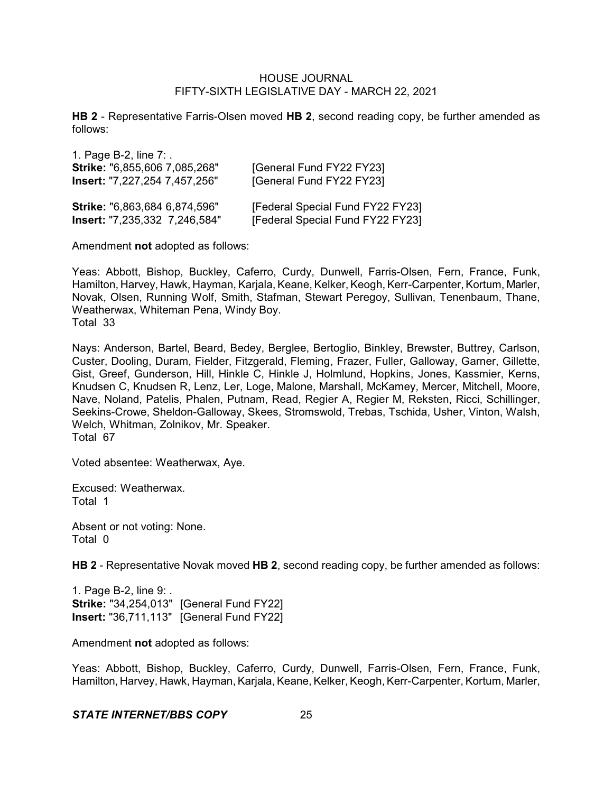**HB 2** - Representative Farris-Olsen moved **HB 2**, second reading copy, be further amended as follows:

| 1. Page B-2, line $7:$ .      |                                  |
|-------------------------------|----------------------------------|
| Strike: "6,855,606 7,085,268" | [General Fund FY22 FY23]         |
| lnsert: "7,227,254 7,457,256" | [General Fund FY22 FY23]         |
| Strike: "6,863,684 6,874,596" | [Federal Special Fund FY22 FY23] |
| Insert: "7,235,332 7,246,584" | [Federal Special Fund FY22 FY23] |

Amendment **not** adopted as follows:

Yeas: Abbott, Bishop, Buckley, Caferro, Curdy, Dunwell, Farris-Olsen, Fern, France, Funk, Hamilton, Harvey, Hawk, Hayman, Karjala, Keane, Kelker, Keogh, Kerr-Carpenter, Kortum, Marler, Novak, Olsen, Running Wolf, Smith, Stafman, Stewart Peregoy, Sullivan, Tenenbaum, Thane, Weatherwax, Whiteman Pena, Windy Boy. Total 33

Nays: Anderson, Bartel, Beard, Bedey, Berglee, Bertoglio, Binkley, Brewster, Buttrey, Carlson, Custer, Dooling, Duram, Fielder, Fitzgerald, Fleming, Frazer, Fuller, Galloway, Garner, Gillette, Gist, Greef, Gunderson, Hill, Hinkle C, Hinkle J, Holmlund, Hopkins, Jones, Kassmier, Kerns, Knudsen C, Knudsen R, Lenz, Ler, Loge, Malone, Marshall, McKamey, Mercer, Mitchell, Moore, Nave, Noland, Patelis, Phalen, Putnam, Read, Regier A, Regier M, Reksten, Ricci, Schillinger, Seekins-Crowe, Sheldon-Galloway, Skees, Stromswold, Trebas, Tschida, Usher, Vinton, Walsh, Welch, Whitman, Zolnikov, Mr. Speaker. Total 67

Voted absentee: Weatherwax, Aye.

Excused: Weatherwax. Total 1

Absent or not voting: None. Total 0

**HB 2** - Representative Novak moved **HB 2**, second reading copy, be further amended as follows:

1. Page B-2, line 9: . **Strike:** "34,254,013" [General Fund FY22] **Insert:** "36,711,113" [General Fund FY22]

Amendment **not** adopted as follows:

Yeas: Abbott, Bishop, Buckley, Caferro, Curdy, Dunwell, Farris-Olsen, Fern, France, Funk, Hamilton, Harvey, Hawk, Hayman, Karjala, Keane, Kelker, Keogh, Kerr-Carpenter, Kortum, Marler,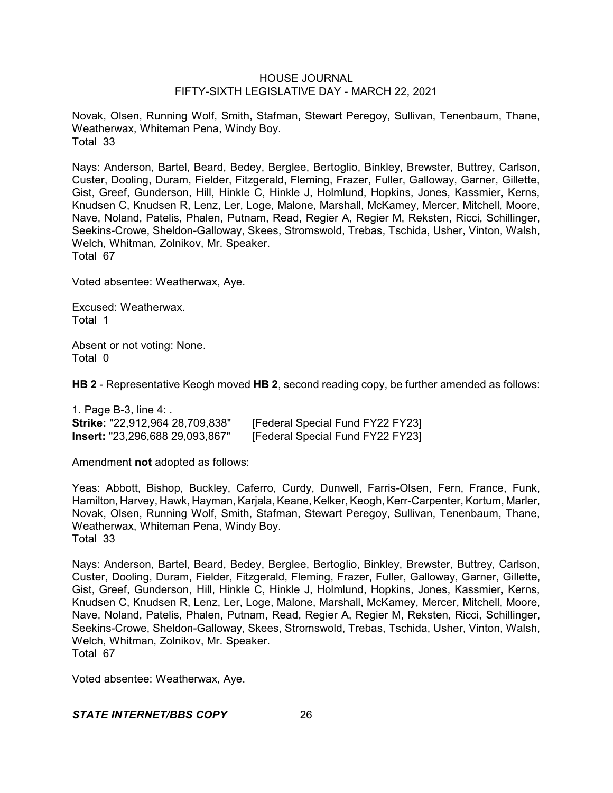Novak, Olsen, Running Wolf, Smith, Stafman, Stewart Peregoy, Sullivan, Tenenbaum, Thane, Weatherwax, Whiteman Pena, Windy Boy. Total 33

Nays: Anderson, Bartel, Beard, Bedey, Berglee, Bertoglio, Binkley, Brewster, Buttrey, Carlson, Custer, Dooling, Duram, Fielder, Fitzgerald, Fleming, Frazer, Fuller, Galloway, Garner, Gillette, Gist, Greef, Gunderson, Hill, Hinkle C, Hinkle J, Holmlund, Hopkins, Jones, Kassmier, Kerns, Knudsen C, Knudsen R, Lenz, Ler, Loge, Malone, Marshall, McKamey, Mercer, Mitchell, Moore, Nave, Noland, Patelis, Phalen, Putnam, Read, Regier A, Regier M, Reksten, Ricci, Schillinger, Seekins-Crowe, Sheldon-Galloway, Skees, Stromswold, Trebas, Tschida, Usher, Vinton, Walsh, Welch, Whitman, Zolnikov, Mr. Speaker. Total 67

Voted absentee: Weatherwax, Aye.

Excused: Weatherwax. Total 1

Absent or not voting: None. Total 0

**HB 2** - Representative Keogh moved **HB 2**, second reading copy, be further amended as follows:

| 1. Page B-3, line 4: .                 |                                  |
|----------------------------------------|----------------------------------|
| Strike: "22,912,964 28,709,838"        | [Federal Special Fund FY22 FY23] |
| <b>Insert:</b> "23,296,688 29,093,867" | [Federal Special Fund FY22 FY23] |

Amendment **not** adopted as follows:

Yeas: Abbott, Bishop, Buckley, Caferro, Curdy, Dunwell, Farris-Olsen, Fern, France, Funk, Hamilton, Harvey, Hawk, Hayman, Karjala, Keane, Kelker, Keogh, Kerr-Carpenter, Kortum, Marler, Novak, Olsen, Running Wolf, Smith, Stafman, Stewart Peregoy, Sullivan, Tenenbaum, Thane, Weatherwax, Whiteman Pena, Windy Boy. Total 33

Nays: Anderson, Bartel, Beard, Bedey, Berglee, Bertoglio, Binkley, Brewster, Buttrey, Carlson, Custer, Dooling, Duram, Fielder, Fitzgerald, Fleming, Frazer, Fuller, Galloway, Garner, Gillette, Gist, Greef, Gunderson, Hill, Hinkle C, Hinkle J, Holmlund, Hopkins, Jones, Kassmier, Kerns, Knudsen C, Knudsen R, Lenz, Ler, Loge, Malone, Marshall, McKamey, Mercer, Mitchell, Moore, Nave, Noland, Patelis, Phalen, Putnam, Read, Regier A, Regier M, Reksten, Ricci, Schillinger, Seekins-Crowe, Sheldon-Galloway, Skees, Stromswold, Trebas, Tschida, Usher, Vinton, Walsh, Welch, Whitman, Zolnikov, Mr. Speaker. Total 67

Voted absentee: Weatherwax, Aye.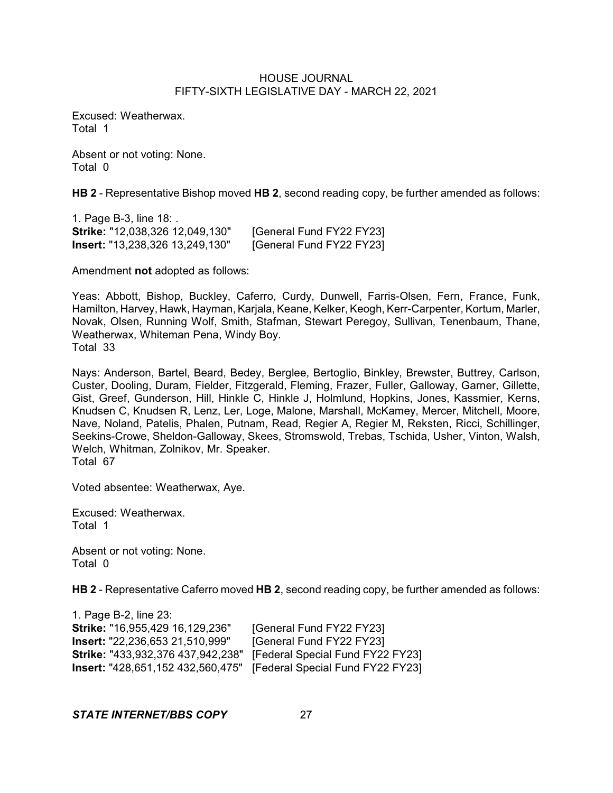Excused: Weatherwax. Total 1

Absent or not voting: None. Total 0

**HB 2** - Representative Bishop moved **HB 2**, second reading copy, be further amended as follows:

1. Page B-3, line 18: . **Strike:** "12,038,326 12,049,130" [General Fund FY22 FY23] **Insert:** "13,238,326 13,249,130" [General Fund FY22 FY23]

Amendment **not** adopted as follows:

Yeas: Abbott, Bishop, Buckley, Caferro, Curdy, Dunwell, Farris-Olsen, Fern, France, Funk, Hamilton, Harvey, Hawk, Hayman, Karjala, Keane, Kelker, Keogh, Kerr-Carpenter, Kortum, Marler, Novak, Olsen, Running Wolf, Smith, Stafman, Stewart Peregoy, Sullivan, Tenenbaum, Thane, Weatherwax, Whiteman Pena, Windy Boy. Total 33

Nays: Anderson, Bartel, Beard, Bedey, Berglee, Bertoglio, Binkley, Brewster, Buttrey, Carlson, Custer, Dooling, Duram, Fielder, Fitzgerald, Fleming, Frazer, Fuller, Galloway, Garner, Gillette, Gist, Greef, Gunderson, Hill, Hinkle C, Hinkle J, Holmlund, Hopkins, Jones, Kassmier, Kerns, Knudsen C, Knudsen R, Lenz, Ler, Loge, Malone, Marshall, McKamey, Mercer, Mitchell, Moore, Nave, Noland, Patelis, Phalen, Putnam, Read, Regier A, Regier M, Reksten, Ricci, Schillinger, Seekins-Crowe, Sheldon-Galloway, Skees, Stromswold, Trebas, Tschida, Usher, Vinton, Walsh, Welch, Whitman, Zolnikov, Mr. Speaker. Total 67

Voted absentee: Weatherwax, Aye.

Excused: Weatherwax. Total 1

Absent or not voting: None. Total 0

**HB 2** - Representative Caferro moved **HB 2**, second reading copy, be further amended as follows:

1. Page B-2, line 23: **Strike:** "16,955,429 16,129,236" [General Fund FY22 FY23] **Insert:** "22,236,653 21,510,999" [General Fund FY22 FY23] **Strike:** "433,932,376 437,942,238" [Federal Special Fund FY22 FY23] **Insert:** "428,651,152 432,560,475" [Federal Special Fund FY22 FY23]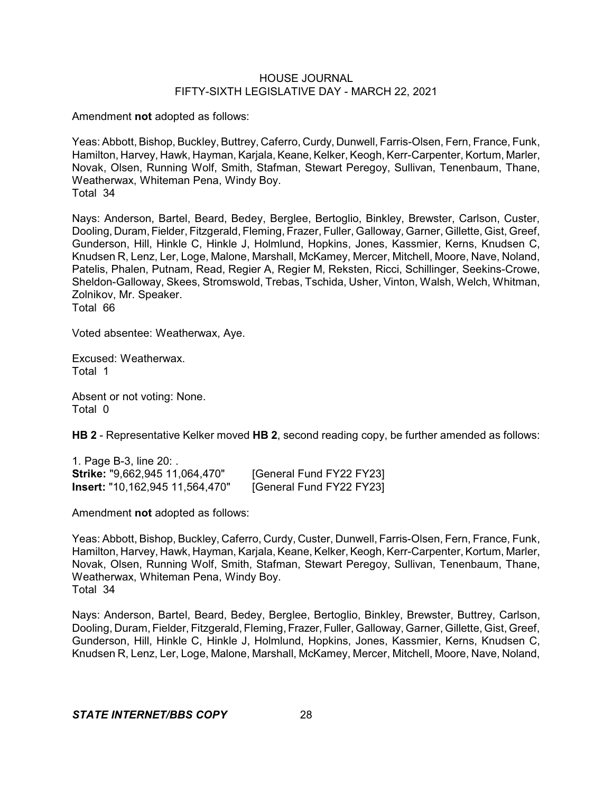Amendment **not** adopted as follows:

Yeas: Abbott, Bishop, Buckley, Buttrey, Caferro, Curdy, Dunwell, Farris-Olsen, Fern, France, Funk, Hamilton, Harvey, Hawk, Hayman, Karjala, Keane, Kelker, Keogh, Kerr-Carpenter, Kortum, Marler, Novak, Olsen, Running Wolf, Smith, Stafman, Stewart Peregoy, Sullivan, Tenenbaum, Thane, Weatherwax, Whiteman Pena, Windy Boy. Total 34

Nays: Anderson, Bartel, Beard, Bedey, Berglee, Bertoglio, Binkley, Brewster, Carlson, Custer, Dooling, Duram, Fielder, Fitzgerald, Fleming, Frazer, Fuller, Galloway, Garner, Gillette, Gist, Greef, Gunderson, Hill, Hinkle C, Hinkle J, Holmlund, Hopkins, Jones, Kassmier, Kerns, Knudsen C, Knudsen R, Lenz, Ler, Loge, Malone, Marshall, McKamey, Mercer, Mitchell, Moore, Nave, Noland, Patelis, Phalen, Putnam, Read, Regier A, Regier M, Reksten, Ricci, Schillinger, Seekins-Crowe, Sheldon-Galloway, Skees, Stromswold, Trebas, Tschida, Usher, Vinton, Walsh, Welch, Whitman, Zolnikov, Mr. Speaker.

Total 66

Voted absentee: Weatherwax, Aye.

Excused: Weatherwax. Total 1

Absent or not voting: None. Total 0

**HB 2** - Representative Kelker moved **HB 2**, second reading copy, be further amended as follows:

1. Page B-3, line 20: . **Strike:** "9,662,945 11,064,470" [General Fund FY22 FY23] **Insert:** "10,162,945 11,564,470" [General Fund FY22 FY23]

Amendment **not** adopted as follows:

Yeas: Abbott, Bishop, Buckley, Caferro, Curdy, Custer, Dunwell, Farris-Olsen, Fern, France, Funk, Hamilton, Harvey, Hawk, Hayman, Karjala, Keane, Kelker, Keogh, Kerr-Carpenter, Kortum, Marler, Novak, Olsen, Running Wolf, Smith, Stafman, Stewart Peregoy, Sullivan, Tenenbaum, Thane, Weatherwax, Whiteman Pena, Windy Boy. Total 34

Nays: Anderson, Bartel, Beard, Bedey, Berglee, Bertoglio, Binkley, Brewster, Buttrey, Carlson, Dooling, Duram, Fielder, Fitzgerald, Fleming, Frazer, Fuller, Galloway, Garner, Gillette, Gist, Greef, Gunderson, Hill, Hinkle C, Hinkle J, Holmlund, Hopkins, Jones, Kassmier, Kerns, Knudsen C, Knudsen R, Lenz, Ler, Loge, Malone, Marshall, McKamey, Mercer, Mitchell, Moore, Nave, Noland,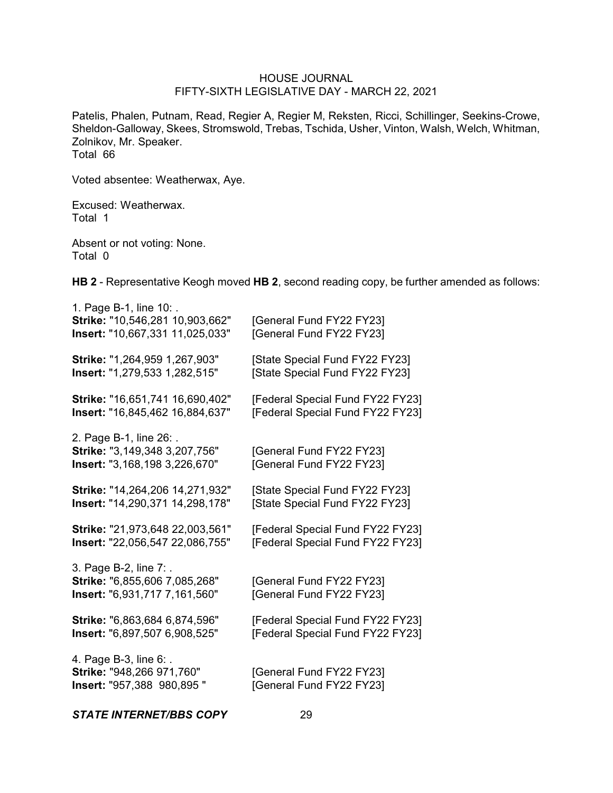Patelis, Phalen, Putnam, Read, Regier A, Regier M, Reksten, Ricci, Schillinger, Seekins-Crowe, Sheldon-Galloway, Skees, Stromswold, Trebas, Tschida, Usher, Vinton, Walsh, Welch, Whitman, Zolnikov, Mr. Speaker. Total 66

Voted absentee: Weatherwax, Aye.

Excused: Weatherwax. Total 1

Absent or not voting: None. Total 0

**HB 2** - Representative Keogh moved **HB 2**, second reading copy, be further amended as follows:

| 1. Page B-1, line 10: .<br>Strike: "10,546,281 10,903,662"<br>Insert: "10,667,331 11,025,033"    | [General Fund FY22 FY23]<br>[General Fund FY22 FY23] |
|--------------------------------------------------------------------------------------------------|------------------------------------------------------|
| Strike: "1,264,959 1,267,903"                                                                    | [State Special Fund FY22 FY23]                       |
| Insert: "1,279,533 1,282,515"                                                                    | [State Special Fund FY22 FY23]                       |
| Strike: "16,651,741 16,690,402"                                                                  | [Federal Special Fund FY22 FY23]                     |
| <b>Insert:</b> "16,845,462 16,884,637"                                                           | [Federal Special Fund FY22 FY23]                     |
| 2. Page B-1, line 26: .<br>Strike: "3,149,348 3,207,756"<br><b>Insert: "3,168,198 3,226,670"</b> | [General Fund FY22 FY23]<br>[General Fund FY22 FY23] |
| Strike: "14,264,206 14,271,932"                                                                  | [State Special Fund FY22 FY23]                       |
| Insert: "14,290,371 14,298,178"                                                                  | [State Special Fund FY22 FY23]                       |
| Strike: "21,973,648 22,003,561"                                                                  | [Federal Special Fund FY22 FY23]                     |
| Insert: "22,056,547 22,086,755"                                                                  | [Federal Special Fund FY22 FY23]                     |
| 3. Page B-2, line 7: .<br>Strike: "6,855,606 7,085,268"<br>Insert: "6,931,717 7,161,560"         | [General Fund FY22 FY23]<br>[General Fund FY22 FY23] |
| Strike: "6,863,684 6,874,596"                                                                    | [Federal Special Fund FY22 FY23]                     |
| Insert: "6,897,507 6,908,525"                                                                    | [Federal Special Fund FY22 FY23]                     |
| 4. Page B-3, line 6: .<br>Strike: "948,266 971,760"<br>Insert: "957,388 980,895 "                | [General Fund FY22 FY23]<br>[General Fund FY22 FY23] |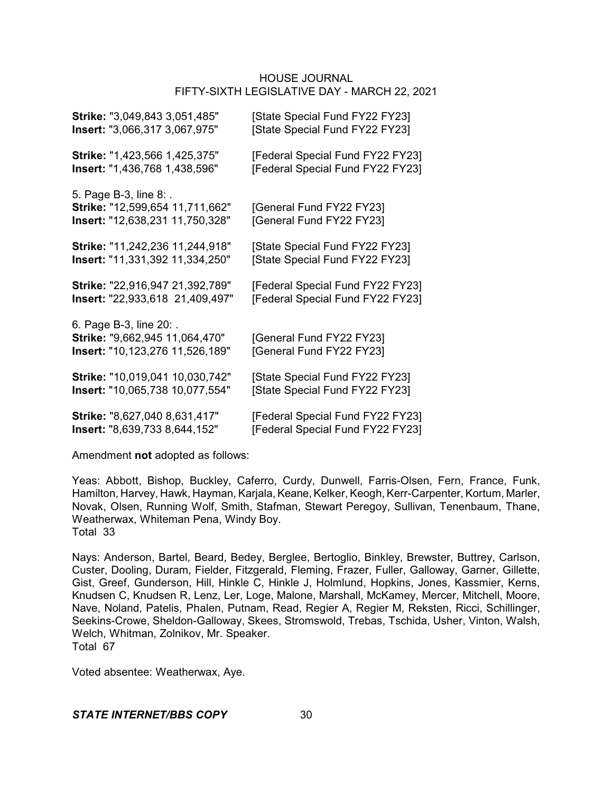| Strike: "3,049,843 3,051,485"                                                                       | [State Special Fund FY22 FY23]                       |
|-----------------------------------------------------------------------------------------------------|------------------------------------------------------|
| <b>Insert: "3,066,317 3,067,975"</b>                                                                | [State Special Fund FY22 FY23]                       |
| Strike: "1,423,566 1,425,375"                                                                       | [Federal Special Fund FY22 FY23]                     |
| <b>Insert:</b> "1,436,768 1,438,596"                                                                | [Federal Special Fund FY22 FY23]                     |
| 5. Page B-3, line 8: .<br>Strike: "12,599,654 11,711,662"<br><b>Insert: "12,638,231 11,750,328"</b> | [General Fund FY22 FY23]<br>[General Fund FY22 FY23] |
| Strike: "11,242,236 11,244,918"                                                                     | [State Special Fund FY22 FY23]                       |
| <b>Insert: "11,331,392 11,334,250"</b>                                                              | [State Special Fund FY22 FY23]                       |
| Strike: "22,916,947 21,392,789"                                                                     | [Federal Special Fund FY22 FY23]                     |
| Insert: "22,933,618 21,409,497"                                                                     | [Federal Special Fund FY22 FY23]                     |
| 6. Page B-3, line 20: .<br>Strike: "9,662,945 11,064,470"<br>Insert: "10,123,276 11,526,189"        | [General Fund FY22 FY23]<br>[General Fund FY22 FY23] |
| Strike: "10,019,041 10,030,742"                                                                     | [State Special Fund FY22 FY23]                       |
| Insert: "10,065,738 10,077,554"                                                                     | [State Special Fund FY22 FY23]                       |
| Strike: "8,627,040 8,631,417"                                                                       | [Federal Special Fund FY22 FY23]                     |
| Insert: "8,639,733 8,644,152"                                                                       | [Federal Special Fund FY22 FY23]                     |

Amendment **not** adopted as follows:

Yeas: Abbott, Bishop, Buckley, Caferro, Curdy, Dunwell, Farris-Olsen, Fern, France, Funk, Hamilton, Harvey, Hawk, Hayman, Karjala, Keane, Kelker, Keogh, Kerr-Carpenter, Kortum, Marler, Novak, Olsen, Running Wolf, Smith, Stafman, Stewart Peregoy, Sullivan, Tenenbaum, Thane, Weatherwax, Whiteman Pena, Windy Boy. Total 33

Nays: Anderson, Bartel, Beard, Bedey, Berglee, Bertoglio, Binkley, Brewster, Buttrey, Carlson, Custer, Dooling, Duram, Fielder, Fitzgerald, Fleming, Frazer, Fuller, Galloway, Garner, Gillette, Gist, Greef, Gunderson, Hill, Hinkle C, Hinkle J, Holmlund, Hopkins, Jones, Kassmier, Kerns, Knudsen C, Knudsen R, Lenz, Ler, Loge, Malone, Marshall, McKamey, Mercer, Mitchell, Moore, Nave, Noland, Patelis, Phalen, Putnam, Read, Regier A, Regier M, Reksten, Ricci, Schillinger, Seekins-Crowe, Sheldon-Galloway, Skees, Stromswold, Trebas, Tschida, Usher, Vinton, Walsh, Welch, Whitman, Zolnikov, Mr. Speaker. Total 67

Voted absentee: Weatherwax, Aye.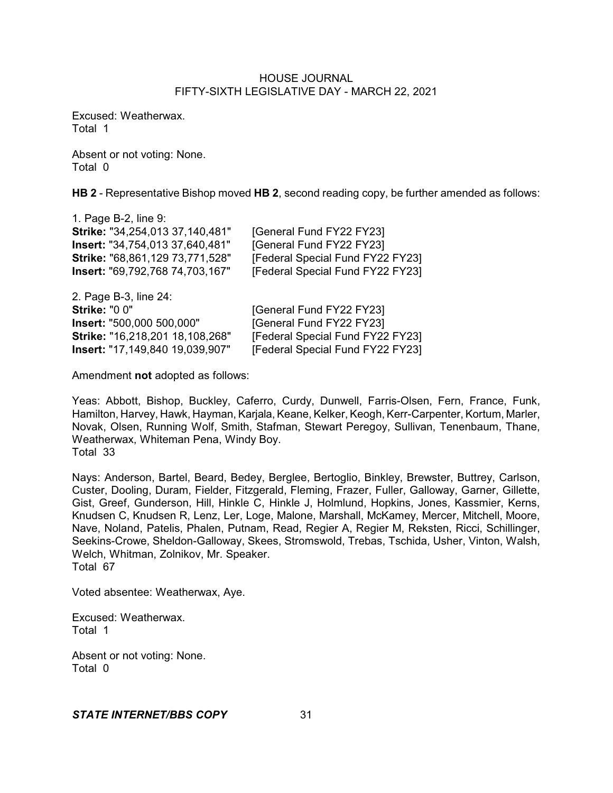Excused: Weatherwax. Total 1

Absent or not voting: None. Total 0

**HB 2** - Representative Bishop moved **HB 2**, second reading copy, be further amended as follows:

| 1. Page B-2, line 9:            |                                  |
|---------------------------------|----------------------------------|
| Strike: "34,254,013 37,140,481" | [General Fund FY22 FY23]         |
| lnsert: "34,754,013 37,640,481" | [General Fund FY22 FY23]         |
| Strike: "68,861,129 73,771,528" | [Federal Special Fund FY22 FY23] |
| Insert: "69,792,768 74,703,167" | [Federal Special Fund FY22 FY23] |
| 2. Page B-3, line 24:           |                                  |
| <b>Strike: "0 0"</b>            | [General Fund FY22 FY23]         |
| Insert: "500,000 500,000"       | [General Fund FY22 FY23]         |
| Strike: "16,218,201 18,108,268" | [Federal Special Fund FY22 FY23] |
| Insert: "17,149,840 19,039,907" | [Federal Special Fund FY22 FY23] |

Amendment **not** adopted as follows:

Yeas: Abbott, Bishop, Buckley, Caferro, Curdy, Dunwell, Farris-Olsen, Fern, France, Funk, Hamilton, Harvey, Hawk, Hayman, Karjala, Keane, Kelker, Keogh, Kerr-Carpenter, Kortum, Marler, Novak, Olsen, Running Wolf, Smith, Stafman, Stewart Peregoy, Sullivan, Tenenbaum, Thane, Weatherwax, Whiteman Pena, Windy Boy. Total 33

Nays: Anderson, Bartel, Beard, Bedey, Berglee, Bertoglio, Binkley, Brewster, Buttrey, Carlson, Custer, Dooling, Duram, Fielder, Fitzgerald, Fleming, Frazer, Fuller, Galloway, Garner, Gillette, Gist, Greef, Gunderson, Hill, Hinkle C, Hinkle J, Holmlund, Hopkins, Jones, Kassmier, Kerns, Knudsen C, Knudsen R, Lenz, Ler, Loge, Malone, Marshall, McKamey, Mercer, Mitchell, Moore, Nave, Noland, Patelis, Phalen, Putnam, Read, Regier A, Regier M, Reksten, Ricci, Schillinger, Seekins-Crowe, Sheldon-Galloway, Skees, Stromswold, Trebas, Tschida, Usher, Vinton, Walsh, Welch, Whitman, Zolnikov, Mr. Speaker. Total 67

Voted absentee: Weatherwax, Aye.

Excused: Weatherwax. Total 1

Absent or not voting: None. Total 0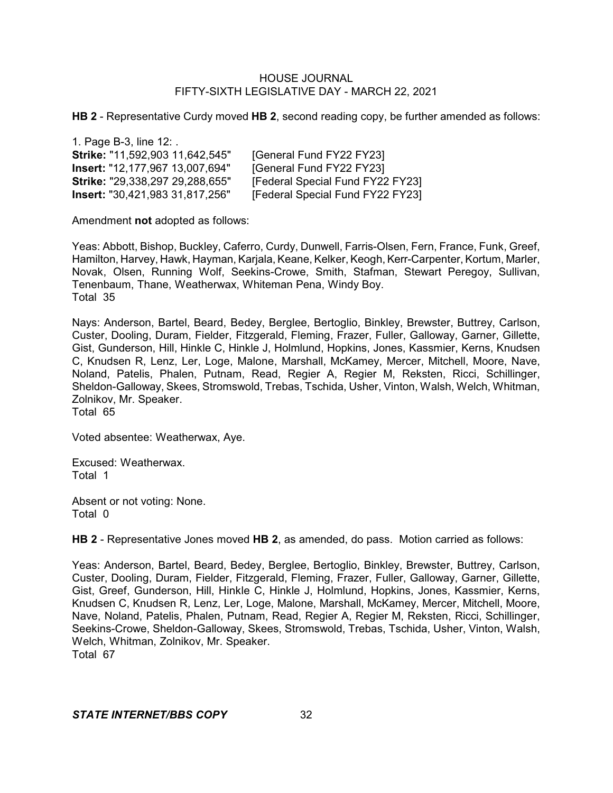**HB 2** - Representative Curdy moved **HB 2**, second reading copy, be further amended as follows:

1. Page B-3, line 12: . **Strike:** "11,592,903 11,642,545" [General Fund FY22 FY23] **Insert:** "12,177,967 13,007,694" [General Fund FY22 FY23] **Strike:** "29,338,297 29,288,655" [Federal Special Fund FY22 FY23]<br>**Insert:** "30.421.983 31.817.256" [Federal Special Fund FY22 FY23] **IFederal Special Fund FY22 FY23]** 

Amendment **not** adopted as follows:

Yeas: Abbott, Bishop, Buckley, Caferro, Curdy, Dunwell, Farris-Olsen, Fern, France, Funk, Greef, Hamilton, Harvey, Hawk, Hayman, Karjala, Keane, Kelker, Keogh, Kerr-Carpenter, Kortum, Marler, Novak, Olsen, Running Wolf, Seekins-Crowe, Smith, Stafman, Stewart Peregoy, Sullivan, Tenenbaum, Thane, Weatherwax, Whiteman Pena, Windy Boy. Total 35

Nays: Anderson, Bartel, Beard, Bedey, Berglee, Bertoglio, Binkley, Brewster, Buttrey, Carlson, Custer, Dooling, Duram, Fielder, Fitzgerald, Fleming, Frazer, Fuller, Galloway, Garner, Gillette, Gist, Gunderson, Hill, Hinkle C, Hinkle J, Holmlund, Hopkins, Jones, Kassmier, Kerns, Knudsen C, Knudsen R, Lenz, Ler, Loge, Malone, Marshall, McKamey, Mercer, Mitchell, Moore, Nave, Noland, Patelis, Phalen, Putnam, Read, Regier A, Regier M, Reksten, Ricci, Schillinger, Sheldon-Galloway, Skees, Stromswold, Trebas, Tschida, Usher, Vinton, Walsh, Welch, Whitman, Zolnikov, Mr. Speaker. Total 65

Voted absentee: Weatherwax, Aye.

Excused: Weatherwax. Total 1

Absent or not voting: None. Total 0

**HB 2** - Representative Jones moved **HB 2**, as amended, do pass. Motion carried as follows:

Yeas: Anderson, Bartel, Beard, Bedey, Berglee, Bertoglio, Binkley, Brewster, Buttrey, Carlson, Custer, Dooling, Duram, Fielder, Fitzgerald, Fleming, Frazer, Fuller, Galloway, Garner, Gillette, Gist, Greef, Gunderson, Hill, Hinkle C, Hinkle J, Holmlund, Hopkins, Jones, Kassmier, Kerns, Knudsen C, Knudsen R, Lenz, Ler, Loge, Malone, Marshall, McKamey, Mercer, Mitchell, Moore, Nave, Noland, Patelis, Phalen, Putnam, Read, Regier A, Regier M, Reksten, Ricci, Schillinger, Seekins-Crowe, Sheldon-Galloway, Skees, Stromswold, Trebas, Tschida, Usher, Vinton, Walsh, Welch, Whitman, Zolnikov, Mr. Speaker. Total 67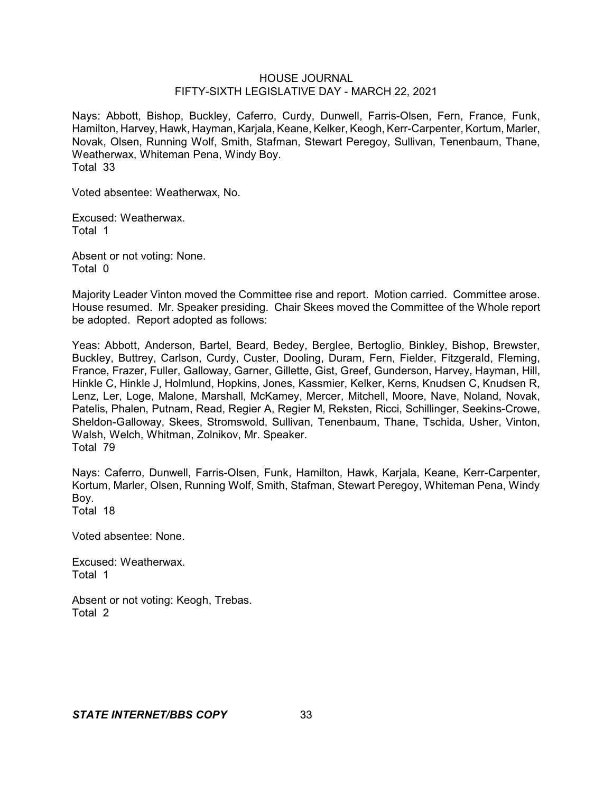Nays: Abbott, Bishop, Buckley, Caferro, Curdy, Dunwell, Farris-Olsen, Fern, France, Funk, Hamilton, Harvey, Hawk, Hayman, Karjala, Keane, Kelker, Keogh, Kerr-Carpenter, Kortum, Marler, Novak, Olsen, Running Wolf, Smith, Stafman, Stewart Peregoy, Sullivan, Tenenbaum, Thane, Weatherwax, Whiteman Pena, Windy Boy. Total 33

Voted absentee: Weatherwax, No.

Excused: Weatherwax. Total 1

Absent or not voting: None. Total 0

Majority Leader Vinton moved the Committee rise and report. Motion carried. Committee arose. House resumed. Mr. Speaker presiding. Chair Skees moved the Committee of the Whole report be adopted. Report adopted as follows:

Yeas: Abbott, Anderson, Bartel, Beard, Bedey, Berglee, Bertoglio, Binkley, Bishop, Brewster, Buckley, Buttrey, Carlson, Curdy, Custer, Dooling, Duram, Fern, Fielder, Fitzgerald, Fleming, France, Frazer, Fuller, Galloway, Garner, Gillette, Gist, Greef, Gunderson, Harvey, Hayman, Hill, Hinkle C, Hinkle J, Holmlund, Hopkins, Jones, Kassmier, Kelker, Kerns, Knudsen C, Knudsen R, Lenz, Ler, Loge, Malone, Marshall, McKamey, Mercer, Mitchell, Moore, Nave, Noland, Novak, Patelis, Phalen, Putnam, Read, Regier A, Regier M, Reksten, Ricci, Schillinger, Seekins-Crowe, Sheldon-Galloway, Skees, Stromswold, Sullivan, Tenenbaum, Thane, Tschida, Usher, Vinton, Walsh, Welch, Whitman, Zolnikov, Mr. Speaker. Total 79

Nays: Caferro, Dunwell, Farris-Olsen, Funk, Hamilton, Hawk, Karjala, Keane, Kerr-Carpenter, Kortum, Marler, Olsen, Running Wolf, Smith, Stafman, Stewart Peregoy, Whiteman Pena, Windy Boy.

Total 18

Voted absentee: None.

Excused: Weatherwax. Total 1

Absent or not voting: Keogh, Trebas. Total 2